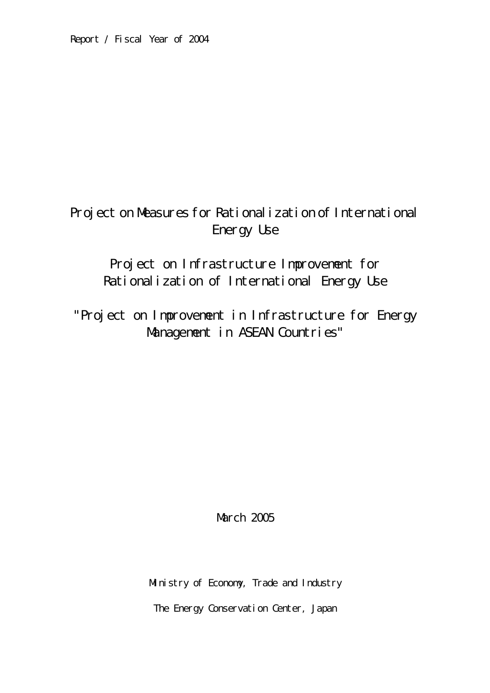# Project on Measures for Rational ization of International Energy Use

Project on Infrastructure Improvement for Rationalization of International Energy Use

"Project on Improvement in Infrastructure for Energy Management in ASEAN Countries"

**March 2005** 

Ministry of Economy, Trade and Industry

The Energy Conservation Center, Japan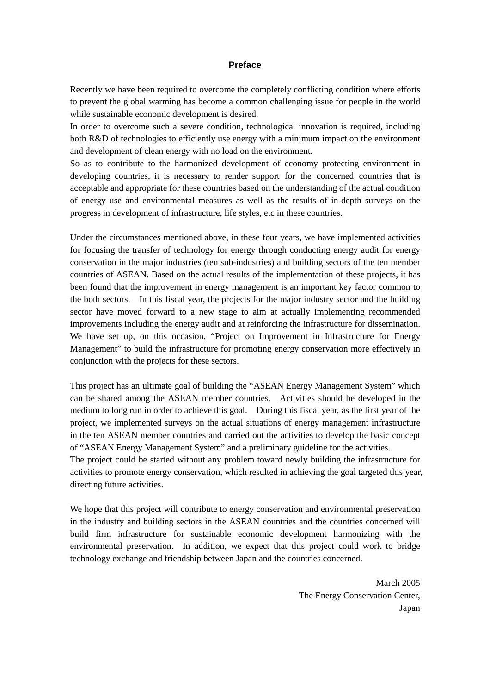#### **Preface**

Recently we have been required to overcome the completely conflicting condition where efforts to prevent the global warming has become a common challenging issue for people in the world while sustainable economic development is desired.

In order to overcome such a severe condition, technological innovation is required, including both R&D of technologies to efficiently use energy with a minimum impact on the environment and development of clean energy with no load on the environment.

So as to contribute to the harmonized development of economy protecting environment in developing countries, it is necessary to render support for the concerned countries that is acceptable and appropriate for these countries based on the understanding of the actual condition of energy use and environmental measures as well as the results of in-depth surveys on the progress in development of infrastructure, life styles, etc in these countries.

Under the circumstances mentioned above, in these four years, we have implemented activities for focusing the transfer of technology for energy through conducting energy audit for energy conservation in the major industries (ten sub-industries) and building sectors of the ten member countries of ASEAN. Based on the actual results of the implementation of these projects, it has been found that the improvement in energy management is an important key factor common to the both sectors. In this fiscal year, the projects for the major industry sector and the building sector have moved forward to a new stage to aim at actually implementing recommended improvements including the energy audit and at reinforcing the infrastructure for dissemination. We have set up, on this occasion, "Project on Improvement in Infrastructure for Energy Management" to build the infrastructure for promoting energy conservation more effectively in conjunction with the projects for these sectors.

This project has an ultimate goal of building the "ASEAN Energy Management System" which can be shared among the ASEAN member countries. Activities should be developed in the medium to long run in order to achieve this goal. During this fiscal year, as the first year of the project, we implemented surveys on the actual situations of energy management infrastructure in the ten ASEAN member countries and carried out the activities to develop the basic concept of "ASEAN Energy Management System" and a preliminary guideline for the activities.

The project could be started without any problem toward newly building the infrastructure for activities to promote energy conservation, which resulted in achieving the goal targeted this year, directing future activities.

We hope that this project will contribute to energy conservation and environmental preservation in the industry and building sectors in the ASEAN countries and the countries concerned will build firm infrastructure for sustainable economic development harmonizing with the environmental preservation. In addition, we expect that this project could work to bridge technology exchange and friendship between Japan and the countries concerned.

> March 2005 The Energy Conservation Center, Japan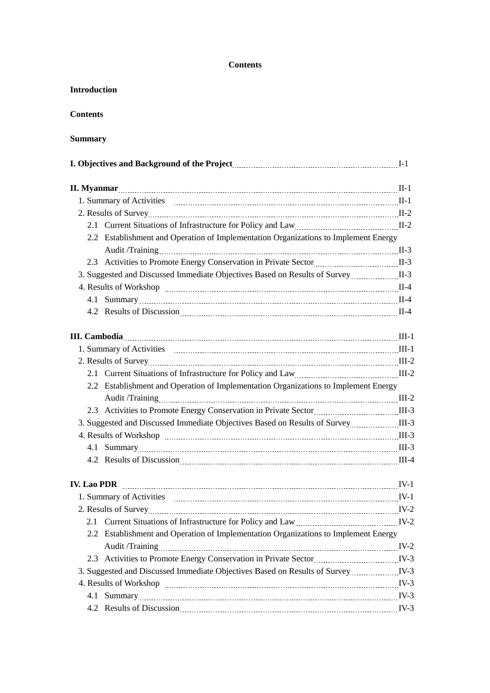#### **Contents**

| <b>Introduction</b>                                                                                                                                                                                                                 |  |
|-------------------------------------------------------------------------------------------------------------------------------------------------------------------------------------------------------------------------------------|--|
| <b>Contents</b>                                                                                                                                                                                                                     |  |
| Summary                                                                                                                                                                                                                             |  |
|                                                                                                                                                                                                                                     |  |
|                                                                                                                                                                                                                                     |  |
| 1. Summary of Activities The Communication and Manuscriptus II-1                                                                                                                                                                    |  |
|                                                                                                                                                                                                                                     |  |
| 2.1 Current Situations of Infrastructure for Policy and Law<br>1-2                                                                                                                                                                  |  |
| 2.2 Establishment and Operation of Implementation Organizations to Implement Energy                                                                                                                                                 |  |
|                                                                                                                                                                                                                                     |  |
| 2.3 Activities to Promote Energy Conservation in Private Sector [11] [12] MI-3                                                                                                                                                      |  |
| 3. Suggested and Discussed Immediate Objectives Based on Results of Survey                                                                                                                                                          |  |
|                                                                                                                                                                                                                                     |  |
| 4.1 Summary 11-4                                                                                                                                                                                                                    |  |
|                                                                                                                                                                                                                                     |  |
|                                                                                                                                                                                                                                     |  |
|                                                                                                                                                                                                                                     |  |
|                                                                                                                                                                                                                                     |  |
|                                                                                                                                                                                                                                     |  |
| 2.2 Establishment and Operation of Implementation Organizations to Implement Energy                                                                                                                                                 |  |
|                                                                                                                                                                                                                                     |  |
| 2.3 Activities to Promote Energy Conservation in Private Sector [111] [114] MIL-3                                                                                                                                                   |  |
|                                                                                                                                                                                                                                     |  |
|                                                                                                                                                                                                                                     |  |
| 4.1 Summary 11-3                                                                                                                                                                                                                    |  |
| 4.2 Results of Discussion <u>Communication</u> Construction Construction Construction Construction Construction Construction Construction Construction Construction Construction Construction Construction Construction Constructio |  |
| <b>IV. Lao PDR</b> [174] [V-1] [V-1] [200 PDR                                                                                                                                                                                       |  |
|                                                                                                                                                                                                                                     |  |
|                                                                                                                                                                                                                                     |  |
| 2.1 Current Situations of Infrastructure for Policy and Law                                                                                                                                                                         |  |
| 2.2 Establishment and Operation of Implementation Organizations to Implement Energy                                                                                                                                                 |  |
|                                                                                                                                                                                                                                     |  |
|                                                                                                                                                                                                                                     |  |
| 3. Suggested and Discussed Immediate Objectives Based on Results of Survey manufold IV-3                                                                                                                                            |  |
|                                                                                                                                                                                                                                     |  |
| 4.1 Summary V-3                                                                                                                                                                                                                     |  |
| 4.2 Results of Discussion Manuscritt and TV-3                                                                                                                                                                                       |  |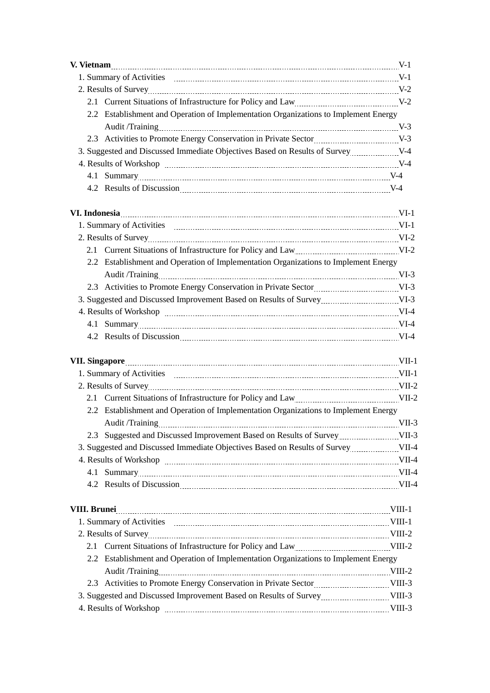| 2.1 Current Situations of Infrastructure for Policy and Law<br>1.1 Current Situations of Infrastructure for Policy and Law                                                                                                     |  |
|--------------------------------------------------------------------------------------------------------------------------------------------------------------------------------------------------------------------------------|--|
| 2.2 Establishment and Operation of Implementation Organizations to Implement Energy                                                                                                                                            |  |
|                                                                                                                                                                                                                                |  |
|                                                                                                                                                                                                                                |  |
| 3. Suggested and Discussed Immediate Objectives Based on Results of Survey                                                                                                                                                     |  |
|                                                                                                                                                                                                                                |  |
|                                                                                                                                                                                                                                |  |
|                                                                                                                                                                                                                                |  |
|                                                                                                                                                                                                                                |  |
|                                                                                                                                                                                                                                |  |
|                                                                                                                                                                                                                                |  |
| 2.1 Current Situations of Infrastructure for Policy and Law Martin Muslem Correspondent Muslem Correspondent Ave                                                                                                               |  |
| 2.2 Establishment and Operation of Implementation Organizations to Implement Energy                                                                                                                                            |  |
|                                                                                                                                                                                                                                |  |
| 2.3 Activities to Promote Energy Conservation in Private Sector Material MI-3                                                                                                                                                  |  |
|                                                                                                                                                                                                                                |  |
| 4. Results of Workshop manual contract and the UI-4                                                                                                                                                                            |  |
| 4.1 Summary VI-4                                                                                                                                                                                                               |  |
|                                                                                                                                                                                                                                |  |
|                                                                                                                                                                                                                                |  |
| VII. Singapore WII. 2000 VII. 2000 VII. 2000 VII. 2000 VII. 2000 VII. 2000 VII. 2000 VII. 2000 VII. 2000 VII. 2000 VII. 2000 VII. 2000 VII. 2000 VII. 2000 VII. 2000 VII. 2000 VII. 2000 VII. 2000 VII. 2000 VII. 2000 VII. 20 |  |
|                                                                                                                                                                                                                                |  |
|                                                                                                                                                                                                                                |  |
| 2.1 Current Situations of Infrastructure for Policy and Law                                                                                                                                                                    |  |
| 2.2 Establishment and Operation of Implementation Organizations to Implement Energy                                                                                                                                            |  |
| Audit /Training<br>VII-3                                                                                                                                                                                                       |  |
|                                                                                                                                                                                                                                |  |
| 3. Suggested and Discussed Immediate Objectives Based on Results of Survey VII-4                                                                                                                                               |  |
| 4. Results of Workshop manufactured and all the UII-4                                                                                                                                                                          |  |
| 4.1 Summary VII-4                                                                                                                                                                                                              |  |
|                                                                                                                                                                                                                                |  |
| VIII. Brunei Martin Martin Martin Martin Martin March 1914. 1914.                                                                                                                                                              |  |
|                                                                                                                                                                                                                                |  |
|                                                                                                                                                                                                                                |  |
| 2.1 Current Situations of Infrastructure for Policy and Law                                                                                                                                                                    |  |
| 2.2 Establishment and Operation of Implementation Organizations to Implement Energy                                                                                                                                            |  |
|                                                                                                                                                                                                                                |  |
|                                                                                                                                                                                                                                |  |
| 3. Suggested and Discussed Improvement Based on Results of Survey VIII-3                                                                                                                                                       |  |
| 4. Results of Workshop manual contract and the VIII-3                                                                                                                                                                          |  |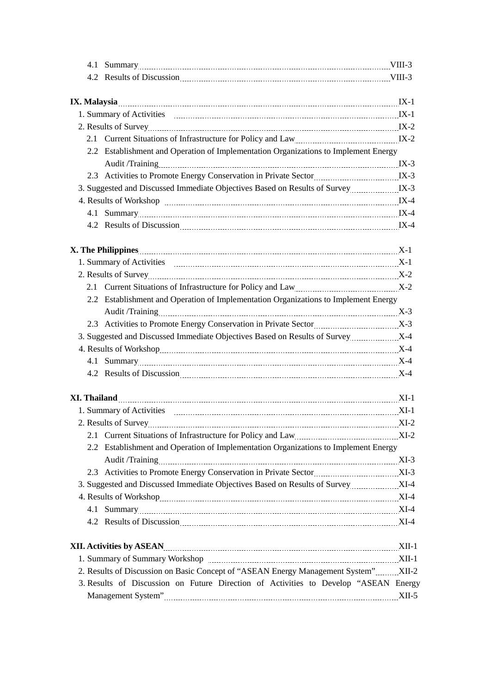| 4.2 Results of Discussion Mullette and Mullette and Mullette and Mullette and Mullette and Mullette and Mullette and Mullette and Mullette and Mullette and Mullette and Mullette and Mullette and Mullette and Mullette and M |        |
|--------------------------------------------------------------------------------------------------------------------------------------------------------------------------------------------------------------------------------|--------|
|                                                                                                                                                                                                                                |        |
|                                                                                                                                                                                                                                |        |
|                                                                                                                                                                                                                                |        |
|                                                                                                                                                                                                                                |        |
| 2.1 Current Situations of Infrastructure for Policy and Law Martin Microsoft R-2                                                                                                                                               |        |
| 2.2 Establishment and Operation of Implementation Organizations to Implement Energy                                                                                                                                            |        |
|                                                                                                                                                                                                                                |        |
| 2.3 Activities to Promote Energy Conservation in Private Sector Material MS-3                                                                                                                                                  |        |
|                                                                                                                                                                                                                                |        |
| 4. Results of Workshop manual measurements and the UK-4                                                                                                                                                                        |        |
| 4.1 Summary K-4                                                                                                                                                                                                                |        |
| 4.2 Results of Discussion Manuscritti and Manuscritti and Manuscritti and Manuscritti and Manuscritti and Manuscritti and Manuscritti and Manuscritti and Manuscritti and Manuscritti and Manuscritti and Manuscritti and Manu |        |
| X. The Philippines Martin Communication and Martin Communication and Martin Communication and Martin Communication and Martin Communication and Martin Communication and Martin Communication and Martin Communication and Mar |        |
|                                                                                                                                                                                                                                |        |
|                                                                                                                                                                                                                                |        |
| 2.1 Current Situations of Infrastructure for Policy and Law Martin Martin M. X-2                                                                                                                                               |        |
| 2.2 Establishment and Operation of Implementation Organizations to Implement Energy                                                                                                                                            |        |
|                                                                                                                                                                                                                                |        |
| 2.3 Activities to Promote Energy Conservation in Private Sector Material Management X-3                                                                                                                                        |        |
|                                                                                                                                                                                                                                |        |
|                                                                                                                                                                                                                                |        |
| 4.1 Summary X-4                                                                                                                                                                                                                |        |
|                                                                                                                                                                                                                                |        |
|                                                                                                                                                                                                                                |        |
|                                                                                                                                                                                                                                |        |
|                                                                                                                                                                                                                                |        |
| 2. Results of Survey                                                                                                                                                                                                           | $XI-2$ |
| 2.1 Current Situations of Infrastructure for Policy and Law<br>1992                                                                                                                                                            |        |
| 2.2 Establishment and Operation of Implementation Organizations to Implement Energy                                                                                                                                            |        |
|                                                                                                                                                                                                                                |        |
|                                                                                                                                                                                                                                |        |
|                                                                                                                                                                                                                                |        |
|                                                                                                                                                                                                                                |        |
| 4.1 Summary XI-4                                                                                                                                                                                                               |        |
|                                                                                                                                                                                                                                |        |
|                                                                                                                                                                                                                                |        |
| XII. Activities by ASEAN Manual Manual Manual Manual Manual Manual Manual Manual Manual Manual Manual Manual Ma                                                                                                                |        |
| 1. Summary of Summary Workshop Manual Museum Museum Museum Museum Museum Museum Museum Museum Museum Museum Mu                                                                                                                 |        |
| 2. Results of Discussion on Basic Concept of "ASEAN Energy Management System"XII-2                                                                                                                                             |        |
| 3. Results of Discussion on Future Direction of Activities to Develop "ASEAN Energy                                                                                                                                            |        |
|                                                                                                                                                                                                                                |        |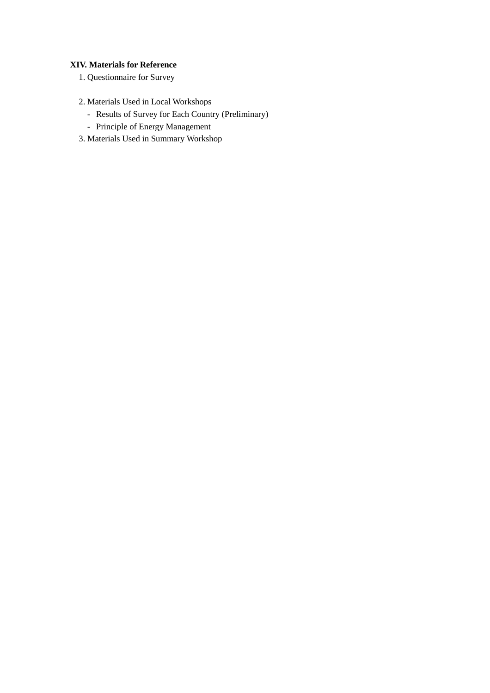### **XIV. Materials for Reference**

- 1. Questionnaire for Survey
- 2. Materials Used in Local Workshops
	- Results of Survey for Each Country (Preliminary)
	- Principle of Energy Management
- 3. Materials Used in Summary Workshop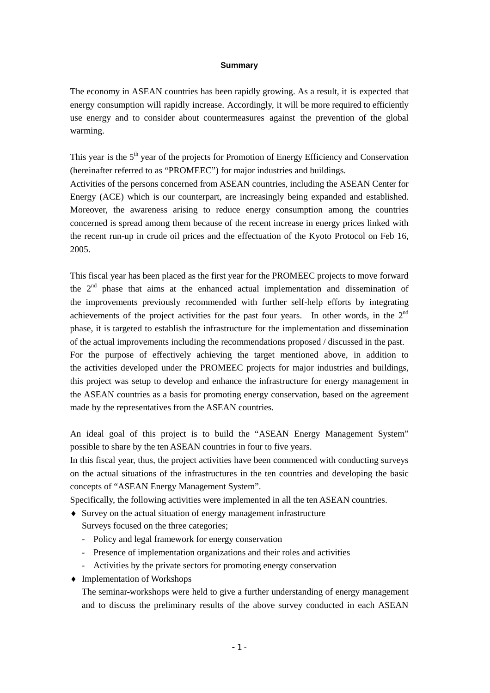#### **Summary**

The economy in ASEAN countries has been rapidly growing. As a result, it is expected that energy consumption will rapidly increase. Accordingly, it will be more required to efficiently use energy and to consider about countermeasures against the prevention of the global warming.

This year is the  $5<sup>th</sup>$  year of the projects for Promotion of Energy Efficiency and Conservation (hereinafter referred to as "PROMEEC") for major industries and buildings.

Activities of the persons concerned from ASEAN countries, including the ASEAN Center for Energy (ACE) which is our counterpart, are increasingly being expanded and established. Moreover, the awareness arising to reduce energy consumption among the countries concerned is spread among them because of the recent increase in energy prices linked with the recent run-up in crude oil prices and the effectuation of the Kyoto Protocol on Feb 16, 2005.

This fiscal year has been placed as the first year for the PROMEEC projects to move forward the  $2<sup>nd</sup>$  phase that aims at the enhanced actual implementation and dissemination of the improvements previously recommended with further self-help efforts by integrating achievements of the project activities for the past four years. In other words, in the  $2<sup>nd</sup>$ phase, it is targeted to establish the infrastructure for the implementation and dissemination of the actual improvements including the recommendations proposed / discussed in the past. For the purpose of effectively achieving the target mentioned above, in addition to the activities developed under the PROMEEC projects for major industries and buildings, this project was setup to develop and enhance the infrastructure for energy management in the ASEAN countries as a basis for promoting energy conservation, based on the agreement made by the representatives from the ASEAN countries.

An ideal goal of this project is to build the "ASEAN Energy Management System" possible to share by the ten ASEAN countries in four to five years.

In this fiscal year, thus, the project activities have been commenced with conducting surveys on the actual situations of the infrastructures in the ten countries and developing the basic concepts of "ASEAN Energy Management System".

Specifically, the following activities were implemented in all the ten ASEAN countries.

♦ Survey on the actual situation of energy management infrastructure

Surveys focused on the three categories;

- Policy and legal framework for energy conservation
- Presence of implementation organizations and their roles and activities
- Activities by the private sectors for promoting energy conservation
- ♦ Implementation of Workshops

The seminar-workshops were held to give a further understanding of energy management and to discuss the preliminary results of the above survey conducted in each ASEAN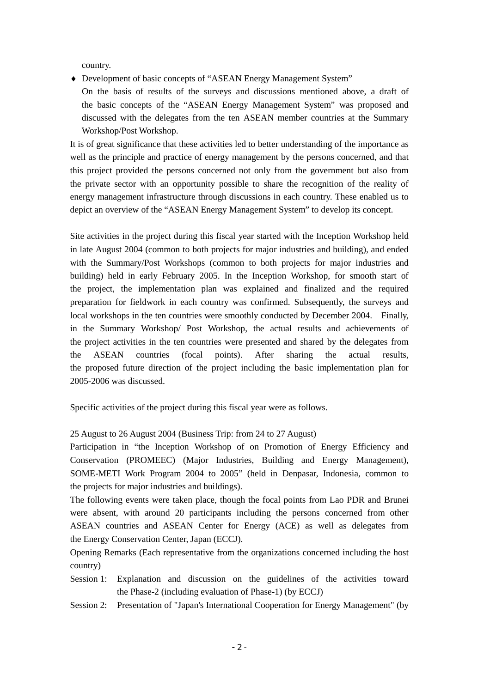country.

- ♦ Development of basic concepts of "ASEAN Energy Management System"
	- On the basis of results of the surveys and discussions mentioned above, a draft of the basic concepts of the "ASEAN Energy Management System" was proposed and discussed with the delegates from the ten ASEAN member countries at the Summary Workshop/Post Workshop.

It is of great significance that these activities led to better understanding of the importance as well as the principle and practice of energy management by the persons concerned, and that this project provided the persons concerned not only from the government but also from the private sector with an opportunity possible to share the recognition of the reality of energy management infrastructure through discussions in each country. These enabled us to depict an overview of the "ASEAN Energy Management System" to develop its concept.

Site activities in the project during this fiscal year started with the Inception Workshop held in late August 2004 (common to both projects for major industries and building), and ended with the Summary/Post Workshops (common to both projects for major industries and building) held in early February 2005. In the Inception Workshop, for smooth start of the project, the implementation plan was explained and finalized and the required preparation for fieldwork in each country was confirmed. Subsequently, the surveys and local workshops in the ten countries were smoothly conducted by December 2004. Finally, in the Summary Workshop/ Post Workshop, the actual results and achievements of the project activities in the ten countries were presented and shared by the delegates from the ASEAN countries (focal points). After sharing the actual results, the proposed future direction of the project including the basic implementation plan for 2005-2006 was discussed.

Specific activities of the project during this fiscal year were as follows.

25 August to 26 August 2004 (Business Trip: from 24 to 27 August)

Participation in "the Inception Workshop of on Promotion of Energy Efficiency and Conservation (PROMEEC) (Major Industries, Building and Energy Management), SOME-METI Work Program 2004 to 2005" (held in Denpasar, Indonesia, common to the projects for major industries and buildings).

The following events were taken place, though the focal points from Lao PDR and Brunei were absent, with around 20 participants including the persons concerned from other ASEAN countries and ASEAN Center for Energy (ACE) as well as delegates from the Energy Conservation Center, Japan (ECCJ).

Opening Remarks (Each representative from the organizations concerned including the host country)

- Session 1: Explanation and discussion on the guidelines of the activities toward the Phase-2 (including evaluation of Phase-1) (by ECCJ)
- Session 2: Presentation of "Japan's International Cooperation for Energy Management" (by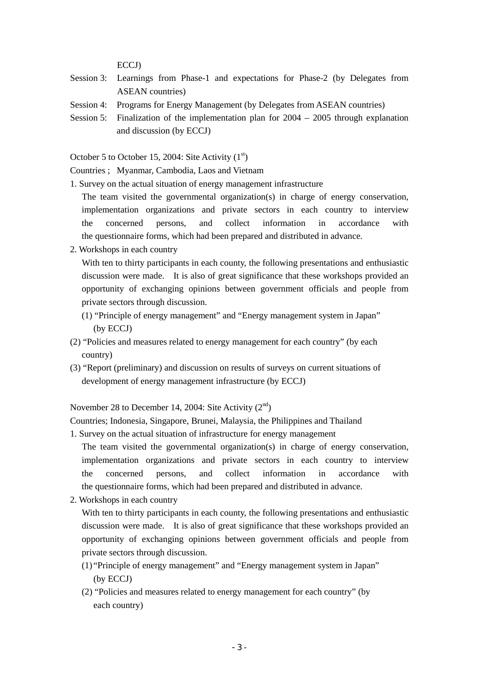ECCJ)

- Session 3: Learnings from Phase-1 and expectations for Phase-2 (by Delegates from ASEAN countries)
- Session 4: Programs for Energy Management (by Delegates from ASEAN countries)
- Session 5: Finalization of the implementation plan for 2004 2005 through explanation and discussion (by ECCJ)

October 5 to October 15, 2004: Site Activity  $(1<sup>st</sup>)$ 

Countries ; Myanmar, Cambodia, Laos and Vietnam

1. Survey on the actual situation of energy management infrastructure

The team visited the governmental organization(s) in charge of energy conservation, implementation organizations and private sectors in each country to interview the concerned persons, and collect information in accordance with the questionnaire forms, which had been prepared and distributed in advance.

2. Workshops in each country

With ten to thirty participants in each county, the following presentations and enthusiastic discussion were made. It is also of great significance that these workshops provided an opportunity of exchanging opinions between government officials and people from private sectors through discussion.

- (1) "Principle of energy management" and "Energy management system in Japan" (by ECCJ)
- (2) "Policies and measures related to energy management for each country" (by each country)
- (3) "Report (preliminary) and discussion on results of surveys on current situations of development of energy management infrastructure (by ECCJ)

November 28 to December 14, 2004: Site Activity  $(2<sup>nd</sup>)$ 

Countries; Indonesia, Singapore, Brunei, Malaysia, the Philippines and Thailand

1. Survey on the actual situation of infrastructure for energy management

The team visited the governmental organization(s) in charge of energy conservation, implementation organizations and private sectors in each country to interview the concerned persons, and collect information in accordance with the questionnaire forms, which had been prepared and distributed in advance.

2. Workshops in each country

With ten to thirty participants in each county, the following presentations and enthusiastic discussion were made. It is also of great significance that these workshops provided an opportunity of exchanging opinions between government officials and people from private sectors through discussion.

- (1) "Principle of energy management" and "Energy management system in Japan" (by ECCJ)
- (2) "Policies and measures related to energy management for each country" (by each country)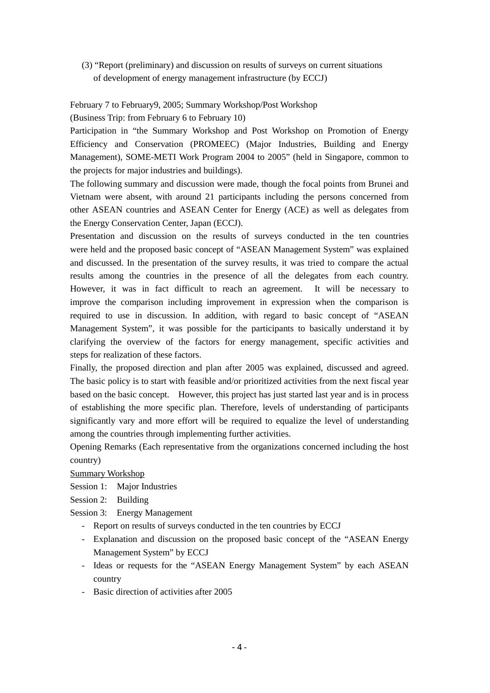(3) "Report (preliminary) and discussion on results of surveys on current situations of development of energy management infrastructure (by ECCJ)

### February 7 to February9, 2005; Summary Workshop/Post Workshop

(Business Trip: from February 6 to February 10)

Participation in "the Summary Workshop and Post Workshop on Promotion of Energy Efficiency and Conservation (PROMEEC) (Major Industries, Building and Energy Management), SOME-METI Work Program 2004 to 2005" (held in Singapore, common to the projects for major industries and buildings).

The following summary and discussion were made, though the focal points from Brunei and Vietnam were absent, with around 21 participants including the persons concerned from other ASEAN countries and ASEAN Center for Energy (ACE) as well as delegates from the Energy Conservation Center, Japan (ECCJ).

Presentation and discussion on the results of surveys conducted in the ten countries were held and the proposed basic concept of "ASEAN Management System" was explained and discussed. In the presentation of the survey results, it was tried to compare the actual results among the countries in the presence of all the delegates from each country. However, it was in fact difficult to reach an agreement. It will be necessary to improve the comparison including improvement in expression when the comparison is required to use in discussion. In addition, with regard to basic concept of "ASEAN Management System", it was possible for the participants to basically understand it by clarifying the overview of the factors for energy management, specific activities and steps for realization of these factors.

Finally, the proposed direction and plan after 2005 was explained, discussed and agreed. The basic policy is to start with feasible and/or prioritized activities from the next fiscal year based on the basic concept. However, this project has just started last year and is in process of establishing the more specific plan. Therefore, levels of understanding of participants significantly vary and more effort will be required to equalize the level of understanding among the countries through implementing further activities.

Opening Remarks (Each representative from the organizations concerned including the host country)

Summary Workshop

Session 1: Major Industries

Session 2: Building

Session 3: Energy Management

- Report on results of surveys conducted in the ten countries by ECCJ
- Explanation and discussion on the proposed basic concept of the "ASEAN Energy Management System" by ECCJ
- Ideas or requests for the "ASEAN Energy Management System" by each ASEAN country
- Basic direction of activities after 2005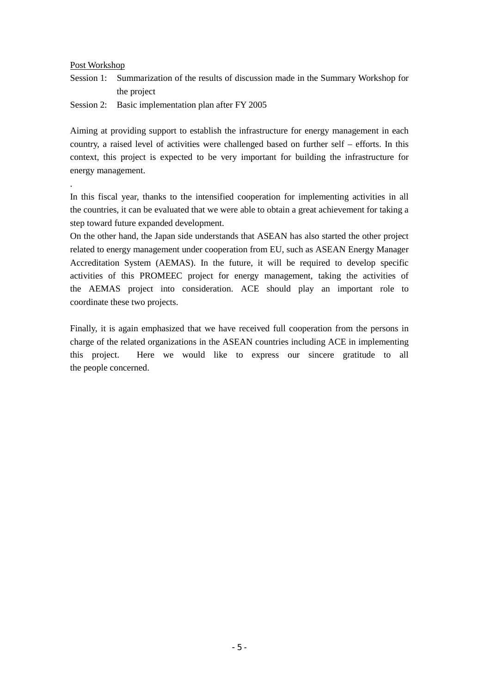#### Post Workshop

.

- Session 1: Summarization of the results of discussion made in the Summary Workshop for the project
- Session 2: Basic implementation plan after FY 2005

Aiming at providing support to establish the infrastructure for energy management in each country, a raised level of activities were challenged based on further self – efforts. In this context, this project is expected to be very important for building the infrastructure for energy management.

In this fiscal year, thanks to the intensified cooperation for implementing activities in all the countries, it can be evaluated that we were able to obtain a great achievement for taking a step toward future expanded development.

On the other hand, the Japan side understands that ASEAN has also started the other project related to energy management under cooperation from EU, such as ASEAN Energy Manager Accreditation System (AEMAS). In the future, it will be required to develop specific activities of this PROMEEC project for energy management, taking the activities of the AEMAS project into consideration. ACE should play an important role to coordinate these two projects.

Finally, it is again emphasized that we have received full cooperation from the persons in charge of the related organizations in the ASEAN countries including ACE in implementing this project. Here we would like to express our sincere gratitude to all the people concerned.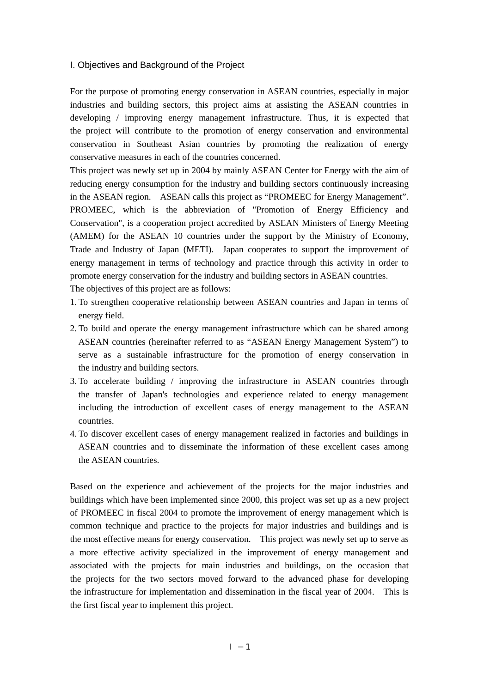#### I. Objectives and Background of the Project

For the purpose of promoting energy conservation in ASEAN countries, especially in major industries and building sectors, this project aims at assisting the ASEAN countries in developing / improving energy management infrastructure. Thus, it is expected that the project will contribute to the promotion of energy conservation and environmental conservation in Southeast Asian countries by promoting the realization of energy conservative measures in each of the countries concerned.

This project was newly set up in 2004 by mainly ASEAN Center for Energy with the aim of reducing energy consumption for the industry and building sectors continuously increasing in the ASEAN region. ASEAN calls this project as "PROMEEC for Energy Management". PROMEEC, which is the abbreviation of "Promotion of Energy Efficiency and Conservation", is a cooperation project accredited by ASEAN Ministers of Energy Meeting (AMEM) for the ASEAN 10 countries under the support by the Ministry of Economy, Trade and Industry of Japan (METI). Japan cooperates to support the improvement of energy management in terms of technology and practice through this activity in order to promote energy conservation for the industry and building sectors in ASEAN countries. The objectives of this project are as follows:

- 1. To strengthen cooperative relationship between ASEAN countries and Japan in terms of energy field.
- 2. To build and operate the energy management infrastructure which can be shared among ASEAN countries (hereinafter referred to as "ASEAN Energy Management System") to serve as a sustainable infrastructure for the promotion of energy conservation in the industry and building sectors.
- 3. To accelerate building / improving the infrastructure in ASEAN countries through the transfer of Japan's technologies and experience related to energy management including the introduction of excellent cases of energy management to the ASEAN countries.
- 4. To discover excellent cases of energy management realized in factories and buildings in ASEAN countries and to disseminate the information of these excellent cases among the ASEAN countries.

Based on the experience and achievement of the projects for the major industries and buildings which have been implemented since 2000, this project was set up as a new project of PROMEEC in fiscal 2004 to promote the improvement of energy management which is common technique and practice to the projects for major industries and buildings and is the most effective means for energy conservation. This project was newly set up to serve as a more effective activity specialized in the improvement of energy management and associated with the projects for main industries and buildings, on the occasion that the projects for the two sectors moved forward to the advanced phase for developing the infrastructure for implementation and dissemination in the fiscal year of 2004. This is the first fiscal year to implement this project.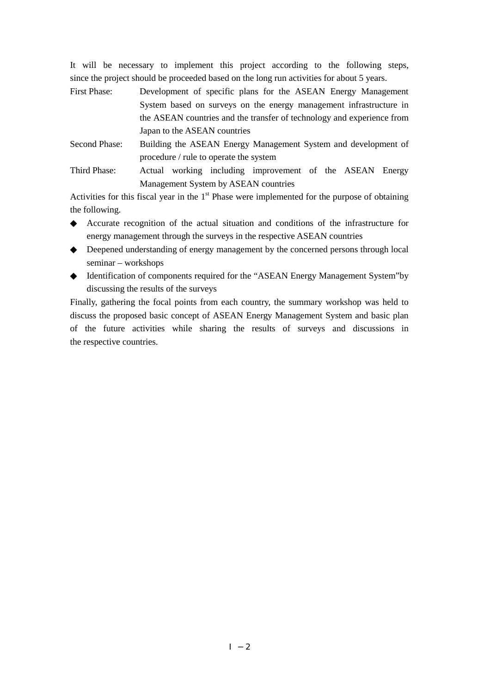It will be necessary to implement this project according to the following steps, since the project should be proceeded based on the long run activities for about 5 years.

| First Phase:  | Development of specific plans for the ASEAN Energy Management          |
|---------------|------------------------------------------------------------------------|
|               | System based on surveys on the energy management infrastructure in     |
|               | the ASEAN countries and the transfer of technology and experience from |
|               | Japan to the ASEAN countries                                           |
| Second Phase: | Building the ASEAN Energy Management System and development of         |
|               | procedure / rule to operate the system                                 |

Third Phase: Actual working including improvement of the ASEAN Energy Management System by ASEAN countries

Activities for this fiscal year in the  $1<sup>st</sup>$  Phase were implemented for the purpose of obtaining the following.

 Accurate recognition of the actual situation and conditions of the infrastructure for energy management through the surveys in the respective ASEAN countries

 Deepened understanding of energy management by the concerned persons through local seminar – workshops

 Identification of components required for the "ASEAN Energy Management System"by discussing the results of the surveys

Finally, gathering the focal points from each country, the summary workshop was held to discuss the proposed basic concept of ASEAN Energy Management System and basic plan of the future activities while sharing the results of surveys and discussions in the respective countries.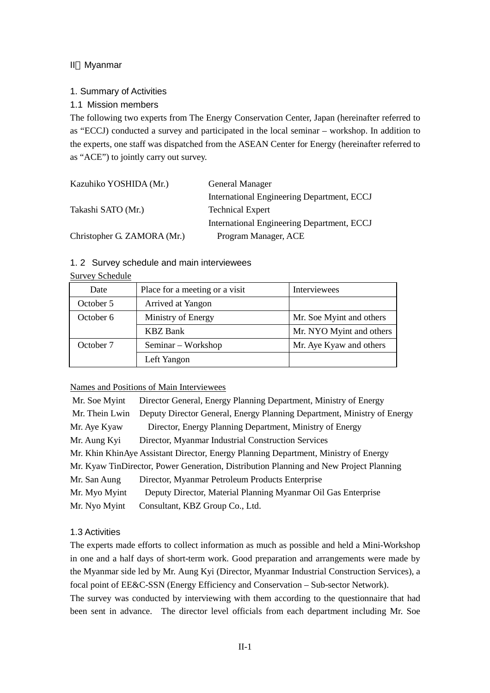# II Myanmar

# 1. Summary of Activities

# 1.1 Mission members

The following two experts from The Energy Conservation Center, Japan (hereinafter referred to as "ECCJ) conducted a survey and participated in the local seminar – workshop. In addition to the experts, one staff was dispatched from the ASEAN Center for Energy (hereinafter referred to as "ACE") to jointly carry out survey.

| Kazuhiko YOSHIDA (Mr.)      | General Manager                            |
|-----------------------------|--------------------------------------------|
|                             | International Engineering Department, ECCJ |
| Takashi SATO (Mr.)          | <b>Technical Expert</b>                    |
|                             | International Engineering Department, ECCJ |
| Christopher G. ZAMORA (Mr.) | Program Manager, ACE                       |

### 1. 2 Survey schedule and main interviewees

#### Survey Schedule

| Date      | Place for a meeting or a visit | Interviewees             |
|-----------|--------------------------------|--------------------------|
| October 5 | Arrived at Yangon              |                          |
| October 6 | Ministry of Energy             | Mr. Soe Myint and others |
|           | <b>KBZ</b> Bank                | Mr. NYO Myint and others |
| October 7 | Seminar – Workshop             | Mr. Aye Kyaw and others  |
|           | Left Yangon                    |                          |

Names and Positions of Main Interviewees

| Mr. Soe Myint                                                                          | Director General, Energy Planning Department, Ministry of Energy        |  |
|----------------------------------------------------------------------------------------|-------------------------------------------------------------------------|--|
| Mr. Thein Lwin                                                                         | Deputy Director General, Energy Planning Department, Ministry of Energy |  |
| Mr. Aye Kyaw                                                                           | Director, Energy Planning Department, Ministry of Energy                |  |
| Mr. Aung Kyi                                                                           | Director, Myanmar Industrial Construction Services                      |  |
| Mr. Khin KhinAye Assistant Director, Energy Planning Department, Ministry of Energy    |                                                                         |  |
| Mr. Kyaw TinDirector, Power Generation, Distribution Planning and New Project Planning |                                                                         |  |
| Mr. San Aung                                                                           | Director, Myanmar Petroleum Products Enterprise                         |  |
| Mr. Myo Myint                                                                          | Deputy Director, Material Planning Myanmar Oil Gas Enterprise           |  |
| Mr. Nyo Myint                                                                          | Consultant, KBZ Group Co., Ltd.                                         |  |

### 1.3 Activities

The experts made efforts to collect information as much as possible and held a Mini-Workshop in one and a half days of short-term work. Good preparation and arrangements were made by the Myanmar side led by Mr. Aung Kyi (Director, Myanmar Industrial Construction Services), a focal point of EE&C-SSN (Energy Efficiency and Conservation – Sub-sector Network).

The survey was conducted by interviewing with them according to the questionnaire that had been sent in advance. The director level officials from each department including Mr. Soe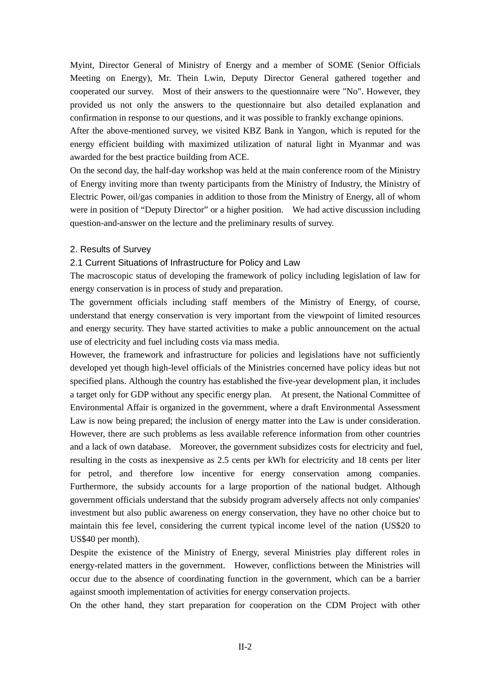Myint, Director General of Ministry of Energy and a member of SOME (Senior Officials Meeting on Energy), Mr. Thein Lwin, Deputy Director General gathered together and cooperated our survey. Most of their answers to the questionnaire were "No". However, they provided us not only the answers to the questionnaire but also detailed explanation and confirmation in response to our questions, and it was possible to frankly exchange opinions.

After the above-mentioned survey, we visited KBZ Bank in Yangon, which is reputed for the energy efficient building with maximized utilization of natural light in Myanmar and was awarded for the best practice building from ACE.

On the second day, the half-day workshop was held at the main conference room of the Ministry of Energy inviting more than twenty participants from the Ministry of Industry, the Ministry of Electric Power, oil/gas companies in addition to those from the Ministry of Energy, all of whom were in position of "Deputy Director" or a higher position. We had active discussion including question-and-answer on the lecture and the preliminary results of survey.

### 2. Results of Survey

### 2.1 Current Situations of Infrastructure for Policy and Law

The macroscopic status of developing the framework of policy including legislation of law for energy conservation is in process of study and preparation.

The government officials including staff members of the Ministry of Energy, of course, understand that energy conservation is very important from the viewpoint of limited resources and energy security. They have started activities to make a public announcement on the actual use of electricity and fuel including costs via mass media.

However, the framework and infrastructure for policies and legislations have not sufficiently developed yet though high-level officials of the Ministries concerned have policy ideas but not specified plans. Although the country has established the five-year development plan, it includes a target only for GDP without any specific energy plan. At present, the National Committee of Environmental Affair is organized in the government, where a draft Environmental Assessment Law is now being prepared; the inclusion of energy matter into the Law is under consideration. However, there are such problems as less available reference information from other countries and a lack of own database. Moreover, the government subsidizes costs for electricity and fuel, resulting in the costs as inexpensive as 2.5 cents per kWh for electricity and 18 cents per liter for petrol, and therefore low incentive for energy conservation among companies. Furthermore, the subsidy accounts for a large proportion of the national budget. Although government officials understand that the subsidy program adversely affects not only companies' investment but also public awareness on energy conservation, they have no other choice but to maintain this fee level, considering the current typical income level of the nation (US\$20 to US\$40 per month).

Despite the existence of the Ministry of Energy, several Ministries play different roles in energy-related matters in the government. However, conflictions between the Ministries will occur due to the absence of coordinating function in the government, which can be a barrier against smooth implementation of activities for energy conservation projects.

On the other hand, they start preparation for cooperation on the CDM Project with other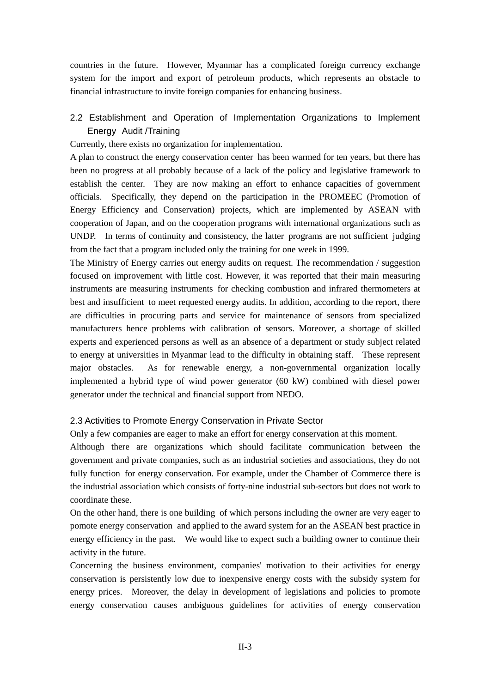countries in the future. However, Myanmar has a complicated foreign currency exchange system for the import and export of petroleum products, which represents an obstacle to financial infrastructure to invite foreign companies for enhancing business.

# 2.2 Establishment and Operation of Implementation Organizations to Implement Energy Audit /Training

Currently, there exists no organization for implementation.

A plan to construct the energy conservation center has been warmed for ten years, but there has been no progress at all probably because of a lack of the policy and legislative framework to establish the center. They are now making an effort to enhance capacities of government officials. Specifically, they depend on the participation in the PROMEEC (Promotion of Energy Efficiency and Conservation) projects, which are implemented by ASEAN with cooperation of Japan, and on the cooperation programs with international organizations such as UNDP. In terms of continuity and consistency, the latter programs are not sufficient judging from the fact that a program included only the training for one week in 1999.

The Ministry of Energy carries out energy audits on request. The recommendation / suggestion focused on improvement with little cost. However, it was reported that their main measuring instruments are measuring instruments for checking combustion and infrared thermometers at best and insufficient to meet requested energy audits. In addition, according to the report, there are difficulties in procuring parts and service for maintenance of sensors from specialized manufacturers hence problems with calibration of sensors. Moreover, a shortage of skilled experts and experienced persons as well as an absence of a department or study subject related to energy at universities in Myanmar lead to the difficulty in obtaining staff. These represent major obstacles. As for renewable energy, a non-governmental organization locally implemented a hybrid type of wind power generator (60 kW) combined with diesel power generator under the technical and financial support from NEDO.

### 2.3 Activities to Promote Energy Conservation in Private Sector

Only a few companies are eager to make an effort for energy conservation at this moment.

Although there are organizations which should facilitate communication between the government and private companies, such as an industrial societies and associations, they do not fully function for energy conservation. For example, under the Chamber of Commerce there is the industrial association which consists of forty-nine industrial sub-sectors but does not work to coordinate these.

On the other hand, there is one building of which persons including the owner are very eager to pomote energy conservation and applied to the award system for an the ASEAN best practice in energy efficiency in the past. We would like to expect such a building owner to continue their activity in the future.

Concerning the business environment, companies' motivation to their activities for energy conservation is persistently low due to inexpensive energy costs with the subsidy system for energy prices. Moreover, the delay in development of legislations and policies to promote energy conservation causes ambiguous guidelines for activities of energy conservation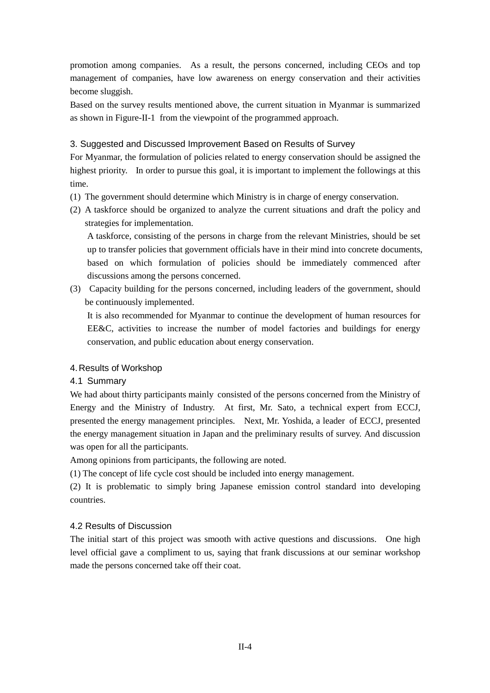promotion among companies. As a result, the persons concerned, including CEOs and top management of companies, have low awareness on energy conservation and their activities become sluggish.

Based on the survey results mentioned above, the current situation in Myanmar is summarized as shown in Figure-II-1 from the viewpoint of the programmed approach.

# 3. Suggested and Discussed Improvement Based on Results of Survey

For Myanmar, the formulation of policies related to energy conservation should be assigned the highest priority. In order to pursue this goal, it is important to implement the followings at this time.

- (1) The government should determine which Ministry is in charge of energy conservation.
- (2) A taskforce should be organized to analyze the current situations and draft the policy and strategies for implementation.

A taskforce, consisting of the persons in charge from the relevant Ministries, should be set up to transfer policies that government officials have in their mind into concrete documents, based on which formulation of policies should be immediately commenced after discussions among the persons concerned.

(3) Capacity building for the persons concerned, including leaders of the government, should be continuously implemented.

It is also recommended for Myanmar to continue the development of human resources for EE&C, activities to increase the number of model factories and buildings for energy conservation, and public education about energy conservation.

### 4. Results of Workshop

### 4.1 Summary

We had about thirty participants mainly consisted of the persons concerned from the Ministry of Energy and the Ministry of Industry. At first, Mr. Sato, a technical expert from ECCJ, presented the energy management principles. Next, Mr. Yoshida, a leader of ECCJ, presented the energy management situation in Japan and the preliminary results of survey. And discussion was open for all the participants.

Among opinions from participants, the following are noted.

(1) The concept of life cycle cost should be included into energy management.

(2) It is problematic to simply bring Japanese emission control standard into developing countries.

# 4.2 Results of Discussion

The initial start of this project was smooth with active questions and discussions. One high level official gave a compliment to us, saying that frank discussions at our seminar workshop made the persons concerned take off their coat.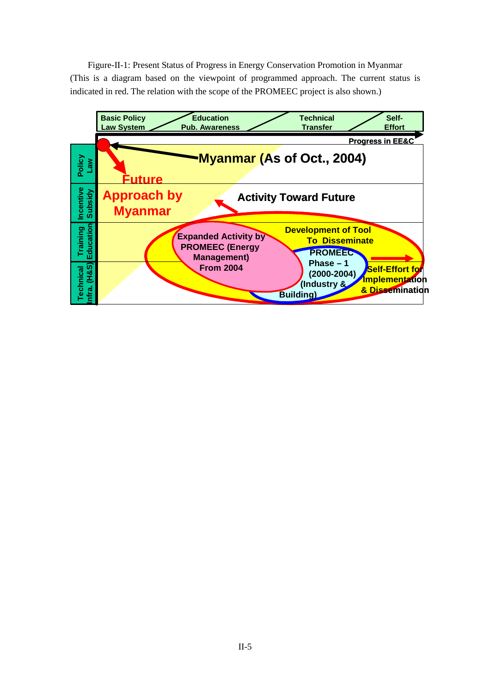Figure-II-1: Present Status of Progress in Energy Conservation Promotion in Myanmar (This is a diagram based on the viewpoint of programmed approach. The current status is indicated in red. The relation with the scope of the PROMEEC project is also shown.)

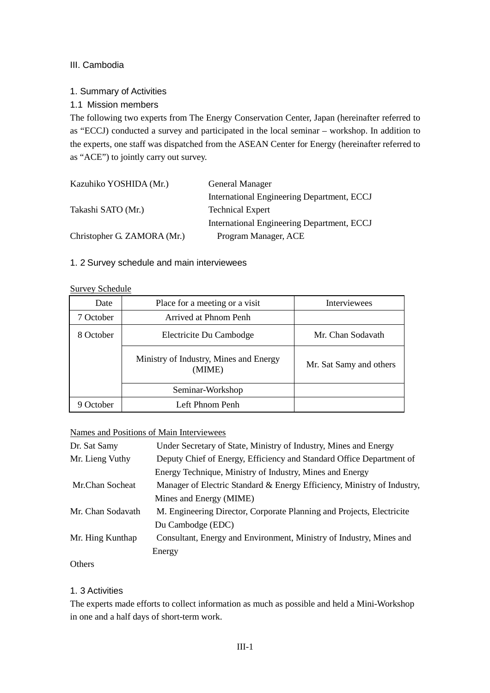# III. Cambodia

# 1. Summary of Activities

# 1.1 Mission members

The following two experts from The Energy Conservation Center, Japan (hereinafter referred to as "ECCJ) conducted a survey and participated in the local seminar – workshop. In addition to the experts, one staff was dispatched from the ASEAN Center for Energy (hereinafter referred to as "ACE") to jointly carry out survey.

| Kazuhiko YOSHIDA (Mr.)      | General Manager                            |
|-----------------------------|--------------------------------------------|
|                             | International Engineering Department, ECCJ |
| Takashi SATO (Mr.)          | <b>Technical Expert</b>                    |
|                             | International Engineering Department, ECCJ |
| Christopher G. ZAMORA (Mr.) | Program Manager, ACE                       |

# 1. 2 Survey schedule and main interviewees

#### Survey Schedule

| Date           | Place for a meeting or a visit                   | <b>Interviewees</b>     |
|----------------|--------------------------------------------------|-------------------------|
| 7 October      | Arrived at Phnom Penh                            |                         |
| 8 October      | Electricite Du Cambodge                          | Mr. Chan Sodavath       |
|                | Ministry of Industry, Mines and Energy<br>(MIME) | Mr. Sat Samy and others |
|                | Seminar-Workshop                                 |                         |
| <b>October</b> | Left Phnom Penh                                  |                         |

# Names and Positions of Main Interviewees

| Dr. Sat Samy      | Under Secretary of State, Ministry of Industry, Mines and Energy        |  |
|-------------------|-------------------------------------------------------------------------|--|
| Mr. Lieng Vuthy   | Deputy Chief of Energy, Efficiency and Standard Office Department of    |  |
|                   | Energy Technique, Ministry of Industry, Mines and Energy                |  |
| Mr.Chan Socheat   | Manager of Electric Standard & Energy Efficiency, Ministry of Industry, |  |
|                   | Mines and Energy (MIME)                                                 |  |
| Mr. Chan Sodavath | M. Engineering Director, Corporate Planning and Projects, Electricite   |  |
|                   | Du Cambodge (EDC)                                                       |  |
| Mr. Hing Kunthap  | Consultant, Energy and Environment, Ministry of Industry, Mines and     |  |
|                   | Energy                                                                  |  |

# **Others**

# 1. 3 Activities

The experts made efforts to collect information as much as possible and held a Mini-Workshop in one and a half days of short-term work.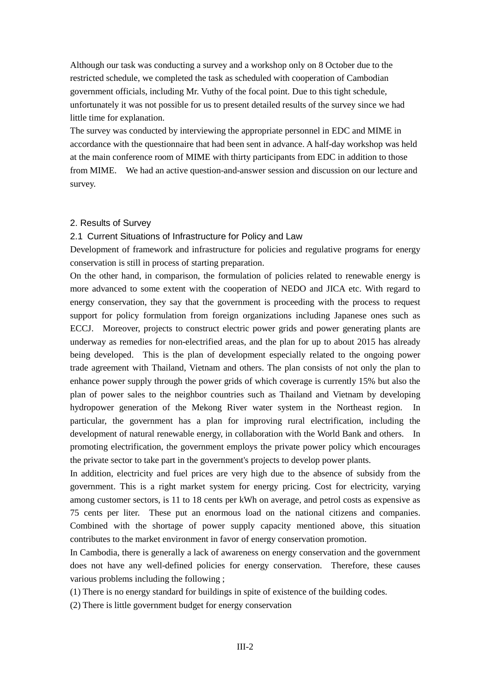Although our task was conducting a survey and a workshop only on 8 October due to the restricted schedule, we completed the task as scheduled with cooperation of Cambodian government officials, including Mr. Vuthy of the focal point. Due to this tight schedule, unfortunately it was not possible for us to present detailed results of the survey since we had little time for explanation.

The survey was conducted by interviewing the appropriate personnel in EDC and MIME in accordance with the questionnaire that had been sent in advance. A half-day workshop was held at the main conference room of MIME with thirty participants from EDC in addition to those from MIME. We had an active question-and-answer session and discussion on our lecture and survey.

#### 2. Results of Survey

#### 2.1 Current Situations of Infrastructure for Policy and Law

Development of framework and infrastructure for policies and regulative programs for energy conservation is still in process of starting preparation.

On the other hand, in comparison, the formulation of policies related to renewable energy is more advanced to some extent with the cooperation of NEDO and JICA etc. With regard to energy conservation, they say that the government is proceeding with the process to request support for policy formulation from foreign organizations including Japanese ones such as ECCJ. Moreover, projects to construct electric power grids and power generating plants are underway as remedies for non-electrified areas, and the plan for up to about 2015 has already being developed. This is the plan of development especially related to the ongoing power trade agreement with Thailand, Vietnam and others. The plan consists of not only the plan to enhance power supply through the power grids of which coverage is currently 15% but also the plan of power sales to the neighbor countries such as Thailand and Vietnam by developing hydropower generation of the Mekong River water system in the Northeast region. In particular, the government has a plan for improving rural electrification, including the development of natural renewable energy, in collaboration with the World Bank and others. In promoting electrification, the government employs the private power policy which encourages the private sector to take part in the government's projects to develop power plants.

In addition, electricity and fuel prices are very high due to the absence of subsidy from the government. This is a right market system for energy pricing. Cost for electricity, varying among customer sectors, is 11 to 18 cents per kWh on average, and petrol costs as expensive as 75 cents per liter. These put an enormous load on the national citizens and companies. Combined with the shortage of power supply capacity mentioned above, this situation contributes to the market environment in favor of energy conservation promotion.

In Cambodia, there is generally a lack of awareness on energy conservation and the government does not have any well-defined policies for energy conservation. Therefore, these causes various problems including the following ;

(1) There is no energy standard for buildings in spite of existence of the building codes.

(2) There is little government budget for energy conservation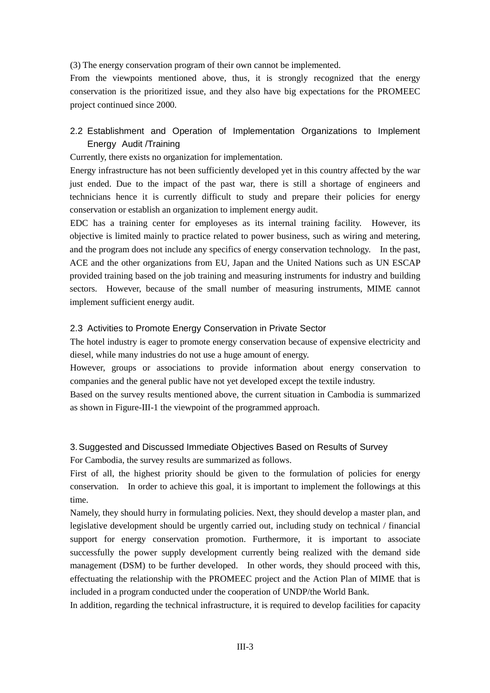(3) The energy conservation program of their own cannot be implemented.

From the viewpoints mentioned above, thus, it is strongly recognized that the energy conservation is the prioritized issue, and they also have big expectations for the PROMEEC project continued since 2000.

# 2.2 Establishment and Operation of Implementation Organizations to Implement Energy Audit /Training

Currently, there exists no organization for implementation.

Energy infrastructure has not been sufficiently developed yet in this country affected by the war just ended. Due to the impact of the past war, there is still a shortage of engineers and technicians hence it is currently difficult to study and prepare their policies for energy conservation or establish an organization to implement energy audit.

EDC has a training center for employeses as its internal training facility. However, its objective is limited mainly to practice related to power business, such as wiring and metering, and the program does not include any specifics of energy conservation technology. In the past, ACE and the other organizations from EU, Japan and the United Nations such as UN ESCAP provided training based on the job training and measuring instruments for industry and building sectors. However, because of the small number of measuring instruments, MIME cannot implement sufficient energy audit.

### 2.3 Activities to Promote Energy Conservation in Private Sector

The hotel industry is eager to promote energy conservation because of expensive electricity and diesel, while many industries do not use a huge amount of energy.

However, groups or associations to provide information about energy conservation to companies and the general public have not yet developed except the textile industry.

Based on the survey results mentioned above, the current situation in Cambodia is summarized as shown in Figure-III-1 the viewpoint of the programmed approach.

# 3. Suggested and Discussed Immediate Objectives Based on Results of Survey

For Cambodia, the survey results are summarized as follows.

First of all, the highest priority should be given to the formulation of policies for energy conservation. In order to achieve this goal, it is important to implement the followings at this time.

Namely, they should hurry in formulating policies. Next, they should develop a master plan, and legislative development should be urgently carried out, including study on technical / financial support for energy conservation promotion. Furthermore, it is important to associate successfully the power supply development currently being realized with the demand side management (DSM) to be further developed. In other words, they should proceed with this, effectuating the relationship with the PROMEEC project and the Action Plan of MIME that is included in a program conducted under the cooperation of UNDP/the World Bank.

In addition, regarding the technical infrastructure, it is required to develop facilities for capacity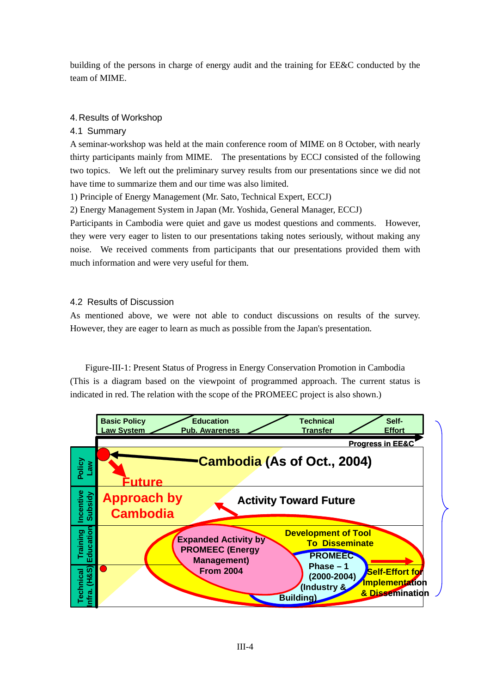building of the persons in charge of energy audit and the training for EE&C conducted by the team of MIME.

# 4. Results of Workshop

# 4.1 Summary

A seminar-workshop was held at the main conference room of MIME on 8 October, with nearly thirty participants mainly from MIME. The presentations by ECCJ consisted of the following two topics. We left out the preliminary survey results from our presentations since we did not have time to summarize them and our time was also limited.

1) Principle of Energy Management (Mr. Sato, Technical Expert, ECCJ)

2) Energy Management System in Japan (Mr. Yoshida, General Manager, ECCJ)

Participants in Cambodia were quiet and gave us modest questions and comments. However, they were very eager to listen to our presentations taking notes seriously, without making any noise. We received comments from participants that our presentations provided them with much information and were very useful for them.

### 4.2 Results of Discussion

As mentioned above, we were not able to conduct discussions on results of the survey. However, they are eager to learn as much as possible from the Japan's presentation.

Figure-III-1: Present Status of Progress in Energy Conservation Promotion in Cambodia (This is a diagram based on the viewpoint of programmed approach. The current status is indicated in red. The relation with the scope of the PROMEEC project is also shown.)

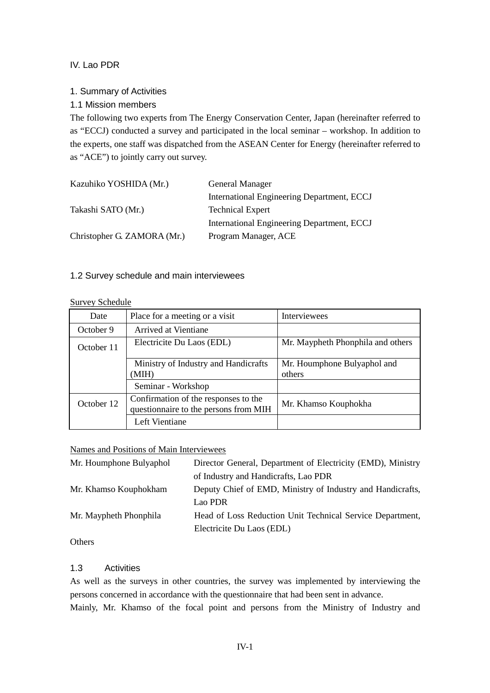# IV. Lao PDR

# 1. Summary of Activities

# 1.1 Mission members

The following two experts from The Energy Conservation Center, Japan (hereinafter referred to as "ECCJ) conducted a survey and participated in the local seminar – workshop. In addition to the experts, one staff was dispatched from the ASEAN Center for Energy (hereinafter referred to as "ACE") to jointly carry out survey.

| Kazuhiko YOSHIDA (Mr.)      | <b>General Manager</b>                     |
|-----------------------------|--------------------------------------------|
|                             | International Engineering Department, ECCJ |
| Takashi SATO (Mr.)          | <b>Technical Expert</b>                    |
|                             | International Engineering Department, ECCJ |
| Christopher G. ZAMORA (Mr.) | Program Manager, ACE                       |

### 1.2 Survey schedule and main interviewees

# Survey Schedule

| Date       | Place for a meeting or a visit                                                | Interviewees                      |
|------------|-------------------------------------------------------------------------------|-----------------------------------|
| October 9  | Arrived at Vientiane                                                          |                                   |
| October 11 | Electricite Du Laos (EDL)                                                     | Mr. Maypheth Phonphila and others |
|            | Ministry of Industry and Handicrafts                                          | Mr. Houmphone Bulyaphol and       |
|            | (MIH)                                                                         | others                            |
|            | Seminar - Workshop                                                            |                                   |
| October 12 | Confirmation of the responses to the<br>questionnaire to the persons from MIH | Mr. Khamso Kouphokha              |
|            | Left Vientiane                                                                |                                   |

# Names and Positions of Main Interviewees

| Mr. Houmphone Bulyaphol | Director General, Department of Electricity (EMD), Ministry |  |
|-------------------------|-------------------------------------------------------------|--|
|                         | of Industry and Handicrafts, Lao PDR                        |  |
| Mr. Khamso Kouphokham   | Deputy Chief of EMD, Ministry of Industry and Handicrafts,  |  |
|                         | Lao PDR                                                     |  |
| Mr. Maypheth Phonphila  | Head of Loss Reduction Unit Technical Service Department,   |  |
|                         | Electricite Du Laos (EDL)                                   |  |

**Others** 

### 1.3 Activities

As well as the surveys in other countries, the survey was implemented by interviewing the persons concerned in accordance with the questionnaire that had been sent in advance. Mainly, Mr. Khamso of the focal point and persons from the Ministry of Industry and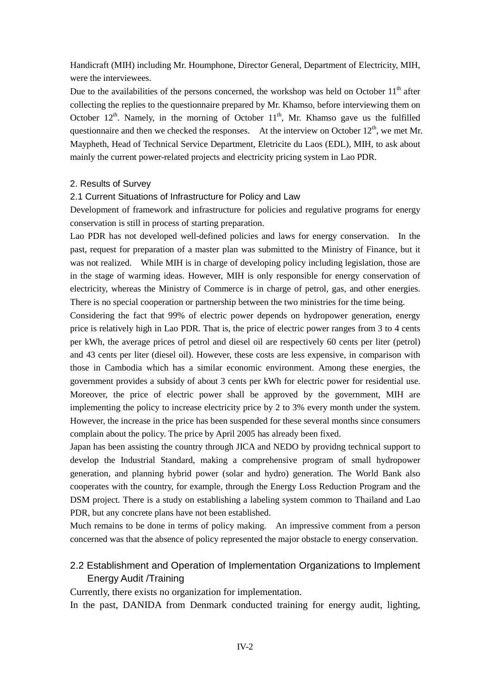Handicraft (MIH) including Mr. Houmphone, Director General, Department of Electricity, MIH, were the interviewees.

Due to the availabilities of the persons concerned, the workshop was held on October  $11<sup>th</sup>$  after collecting the replies to the questionnaire prepared by Mr. Khamso, before interviewing them on October  $12<sup>th</sup>$ . Namely, in the morning of October  $11<sup>th</sup>$ , Mr. Khamso gave us the fulfilled questionnaire and then we checked the responses. At the interview on October  $12<sup>th</sup>$ , we met Mr. Maypheth, Head of Technical Service Department, Eletricite du Laos (EDL), MIH, to ask about mainly the current power-related projects and electricity pricing system in Lao PDR.

### 2. Results of Survey

#### 2.1 Current Situations of Infrastructure for Policy and Law

Development of framework and infrastructure for policies and regulative programs for energy conservation is still in process of starting preparation.

Lao PDR has not developed well-defined policies and laws for energy conservation. In the past, request for preparation of a master plan was submitted to the Ministry of Finance, but it was not realized. While MIH is in charge of developing policy including legislation, those are in the stage of warming ideas. However, MIH is only responsible for energy conservation of electricity, whereas the Ministry of Commerce is in charge of petrol, gas, and other energies. There is no special cooperation or partnership between the two ministries for the time being.

Considering the fact that 99% of electric power depends on hydropower generation, energy price is relatively high in Lao PDR. That is, the price of electric power ranges from 3 to 4 cents per kWh, the average prices of petrol and diesel oil are respectively 60 cents per liter (petrol) and 43 cents per liter (diesel oil). However, these costs are less expensive, in comparison with those in Cambodia which has a similar economic environment. Among these energies, the government provides a subsidy of about 3 cents per kWh for electric power for residential use. Moreover, the price of electric power shall be approved by the government, MIH are implementing the policy to increase electricity price by 2 to 3% every month under the system. However, the increase in the price has been suspended for these several months since consumers complain about the policy. The price by April 2005 has already been fixed.

Japan has been assisting the country through JICA and NEDO by providng technical support to develop the Industrial Standard, making a comprehensive program of small hydropower generation, and planning hybrid power (solar and hydro) generation. The World Bank also cooperates with the country, for example, through the Energy Loss Reduction Program and the DSM project. There is a study on establishing a labeling system common to Thailand and Lao PDR, but any concrete plans have not been established.

Much remains to be done in terms of policy making. An impressive comment from a person concerned was that the absence of policy represented the major obstacle to energy conservation.

# 2.2 Establishment and Operation of Implementation Organizations to Implement Energy Audit /Training

Currently, there exists no organization for implementation.

In the past, DANIDA from Denmark conducted training for energy audit, lighting,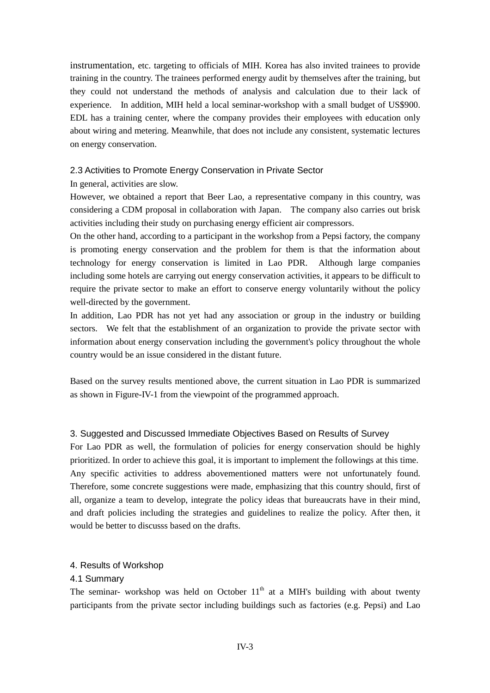instrumentation, etc. targeting to officials of MIH. Korea has also invited trainees to provide training in the country. The trainees performed energy audit by themselves after the training, but they could not understand the methods of analysis and calculation due to their lack of experience. In addition, MIH held a local seminar-workshop with a small budget of US\$900. EDL has a training center, where the company provides their employees with education only about wiring and metering. Meanwhile, that does not include any consistent, systematic lectures on energy conservation.

#### 2.3 Activities to Promote Energy Conservation in Private Sector

In general, activities are slow.

However, we obtained a report that Beer Lao, a representative company in this country, was considering a CDM proposal in collaboration with Japan. The company also carries out brisk activities including their study on purchasing energy efficient air compressors.

On the other hand, according to a participant in the workshop from a Pepsi factory, the company is promoting energy conservation and the problem for them is that the information about technology for energy conservation is limited in Lao PDR. Although large companies including some hotels are carrying out energy conservation activities, it appears to be difficult to require the private sector to make an effort to conserve energy voluntarily without the policy well-directed by the government.

In addition, Lao PDR has not yet had any association or group in the industry or building sectors. We felt that the establishment of an organization to provide the private sector with information about energy conservation including the government's policy throughout the whole country would be an issue considered in the distant future.

Based on the survey results mentioned above, the current situation in Lao PDR is summarized as shown in Figure-IV-1 from the viewpoint of the programmed approach.

#### 3. Suggested and Discussed Immediate Objectives Based on Results of Survey

For Lao PDR as well, the formulation of policies for energy conservation should be highly prioritized. In order to achieve this goal, it is important to implement the followings at this time. Any specific activities to address abovementioned matters were not unfortunately found. Therefore, some concrete suggestions were made, emphasizing that this country should, first of all, organize a team to develop, integrate the policy ideas that bureaucrats have in their mind, and draft policies including the strategies and guidelines to realize the policy. After then, it would be better to discusss based on the drafts.

#### 4. Results of Workshop

#### 4.1 Summary

The seminar- workshop was held on October  $11<sup>th</sup>$  at a MIH's building with about twenty participants from the private sector including buildings such as factories (e.g. Pepsi) and Lao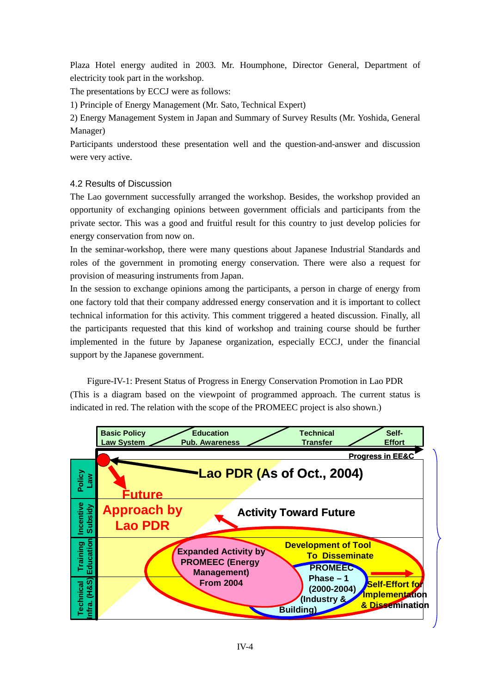Plaza Hotel energy audited in 2003. Mr. Houmphone, Director General, Department of electricity took part in the workshop.

The presentations by ECCJ were as follows:

1) Principle of Energy Management (Mr. Sato, Technical Expert)

2) Energy Management System in Japan and Summary of Survey Results (Mr. Yoshida, General Manager)

Participants understood these presentation well and the question-and-answer and discussion were very active.

# 4.2 Results of Discussion

The Lao government successfully arranged the workshop. Besides, the workshop provided an opportunity of exchanging opinions between government officials and participants from the private sector. This was a good and fruitful result for this country to just develop policies for energy conservation from now on.

In the seminar-workshop, there were many questions about Japanese Industrial Standards and roles of the government in promoting energy conservation. There were also a request for provision of measuring instruments from Japan.

In the session to exchange opinions among the participants, a person in charge of energy from one factory told that their company addressed energy conservation and it is important to collect technical information for this activity. This comment triggered a heated discussion. Finally, all the participants requested that this kind of workshop and training course should be further implemented in the future by Japanese organization, especially ECCJ, under the financial support by the Japanese government.

Figure-IV-1: Present Status of Progress in Energy Conservation Promotion in Lao PDR (This is a diagram based on the viewpoint of programmed approach. The current status is indicated in red. The relation with the scope of the PROMEEC project is also shown.)

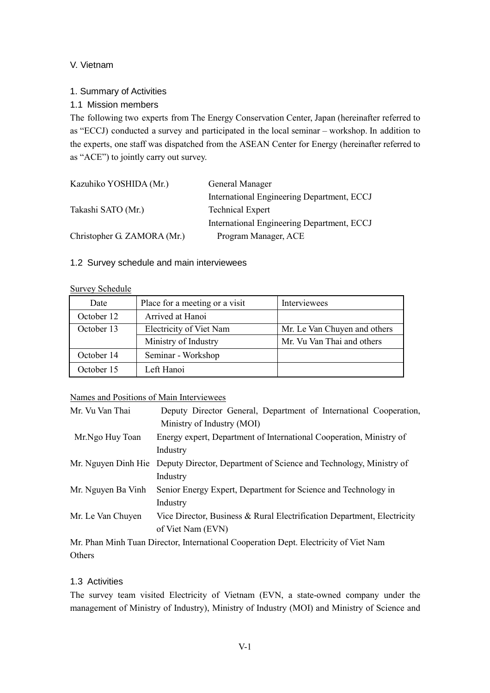# V. Vietnam

# 1. Summary of Activities

# 1.1 Mission members

The following two experts from The Energy Conservation Center, Japan (hereinafter referred to as "ECCJ) conducted a survey and participated in the local seminar – workshop. In addition to the experts, one staff was dispatched from the ASEAN Center for Energy (hereinafter referred to as "ACE") to jointly carry out survey.

| Kazuhiko YOSHIDA (Mr.)      | General Manager                            |  |
|-----------------------------|--------------------------------------------|--|
|                             | International Engineering Department, ECCJ |  |
| Takashi SATO (Mr.)          | <b>Technical Expert</b>                    |  |
|                             | International Engineering Department, ECCJ |  |
| Christopher G. ZAMORA (Mr.) | Program Manager, ACE                       |  |

# 1.2 Survey schedule and main interviewees

#### Survey Schedule

| Date       | Place for a meeting or a visit | Interviewees                 |
|------------|--------------------------------|------------------------------|
| October 12 | Arrived at Hanoi               |                              |
| October 13 | Electricity of Viet Nam        | Mr. Le Van Chuyen and others |
|            | Ministry of Industry           | Mr. Vu Van Thai and others   |
| October 14 | Seminar - Workshop             |                              |
| October 15 | Left Hanoi                     |                              |

### Names and Positions of Main Interviewees

| Mr. Vu Van Thai    | Deputy Director General, Department of International Cooperation,<br>Ministry of Industry (MOI) |
|--------------------|-------------------------------------------------------------------------------------------------|
| Mr.Ngo Huy Toan    | Energy expert, Department of International Cooperation, Ministry of                             |
|                    | Industry                                                                                        |
|                    | Mr. Nguyen Dinh Hie Deputy Director, Department of Science and Technology, Ministry of          |
|                    | Industry                                                                                        |
| Mr. Nguyen Ba Vinh | Senior Energy Expert, Department for Science and Technology in                                  |
|                    | Industry                                                                                        |
| Mr. Le Van Chuyen  | Vice Director, Business & Rural Electrification Department, Electricity                         |
|                    | of Viet Nam (EVN)                                                                               |
|                    | Mr. Phan Minh Tuan Director International Cooperation Dept. Electricity of Viet Nam             |

Mr. Phan Minh Tuan Director, International Cooperation Dept. Electricity of Viet Nam **Others** 

# 1.3 Activities

The survey team visited Electricity of Vietnam (EVN, a state-owned company under the management of Ministry of Industry), Ministry of Industry (MOI) and Ministry of Science and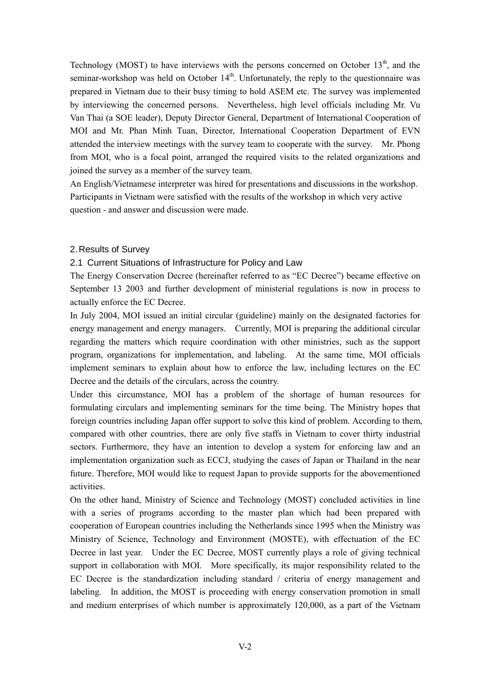Technology (MOST) to have interviews with the persons concerned on October  $13<sup>th</sup>$ , and the seminar-workshop was held on October  $14<sup>th</sup>$ . Unfortunately, the reply to the questionnaire was prepared in Vietnam due to their busy timing to hold ASEM etc. The survey was implemented by interviewing the concerned persons. Nevertheless, high level officials including Mr. Vu Van Thai (a SOE leader), Deputy Director General, Department of International Cooperation of MOI and Mr. Phan Minh Tuan, Director, International Cooperation Department of EVN attended the interview meetings with the survey team to cooperate with the survey. Mr. Phong from MOI, who is a focal point, arranged the required visits to the related organizations and joined the survey as a member of the survey team.

An English/Vietnamese interpreter was hired for presentations and discussions in the workshop. Participants in Vietnam were satisfied with the results of the workshop in which very active question - and answer and discussion were made.

#### 2. Results of Survey

#### 2.1 Current Situations of Infrastructure for Policy and Law

The Energy Conservation Decree (hereinafter referred to as "EC Decree") became effective on September 13 2003 and further development of ministerial regulations is now in process to actually enforce the EC Decree.

In July 2004, MOI issued an initial circular (guideline) mainly on the designated factories for energy management and energy managers. Currently, MOI is preparing the additional circular regarding the matters which require coordination with other ministries, such as the support program, organizations for implementation, and labeling. At the same time, MOI officials implement seminars to explain about how to enforce the law, including lectures on the EC Decree and the details of the circulars, across the country.

Under this circumstance, MOI has a problem of the shortage of human resources for formulating circulars and implementing seminars for the time being. The Ministry hopes that foreign countries including Japan offer support to solve this kind of problem. According to them, compared with other countries, there are only five staffs in Vietnam to cover thirty industrial sectors. Furthermore, they have an intention to develop a system for enforcing law and an implementation organization such as ECCJ, studying the cases of Japan or Thailand in the near future. Therefore, MOI would like to request Japan to provide supports for the abovementioned activities.

On the other hand, Ministry of Science and Technology (MOST) concluded activities in line with a series of programs according to the master plan which had been prepared with cooperation of European countries including the Netherlands since 1995 when the Ministry was Ministry of Science, Technology and Environment (MOSTE), with effectuation of the EC Decree in last year. Under the EC Decree, MOST currently plays a role of giving technical support in collaboration with MOI. More specifically, its major responsibility related to the EC Decree is the standardization including standard / criteria of energy management and labeling. In addition, the MOST is proceeding with energy conservation promotion in small and medium enterprises of which number is approximately 120,000, as a part of the Vietnam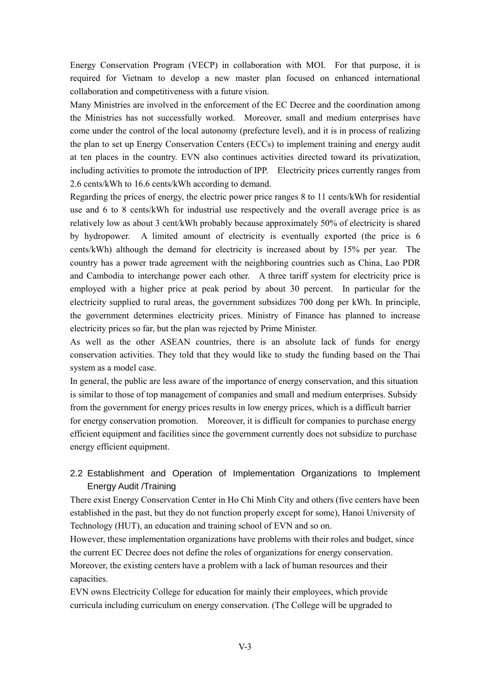Energy Conservation Program (VECP) in collaboration with MOI. For that purpose, it is required for Vietnam to develop a new master plan focused on enhanced international collaboration and competitiveness with a future vision.

Many Ministries are involved in the enforcement of the EC Decree and the coordination among the Ministries has not successfully worked. Moreover, small and medium enterprises have come under the control of the local autonomy (prefecture level), and it is in process of realizing the plan to set up Energy Conservation Centers (ECCs) to implement training and energy audit at ten places in the country. EVN also continues activities directed toward its privatization, including activities to promote the introduction of IPP. Electricity prices currently ranges from 2.6 cents/kWh to 16.6 cents/kWh according to demand.

Regarding the prices of energy, the electric power price ranges 8 to 11 cents/kWh for residential use and 6 to 8 cents/kWh for industrial use respectively and the overall average price is as relatively low as about 3 cent/kWh probably because approximately 50% of electricity is shared by hydropower. A limited amount of electricity is eventually exported (the price is 6 cents/kWh) although the demand for electricity is increased about by 15% per year. The country has a power trade agreement with the neighboring countries such as China, Lao PDR and Cambodia to interchange power each other. A three tariff system for electricity price is employed with a higher price at peak period by about 30 percent. In particular for the electricity supplied to rural areas, the government subsidizes 700 dong per kWh. In principle, the government determines electricity prices. Ministry of Finance has planned to increase electricity prices so far, but the plan was rejected by Prime Minister.

As well as the other ASEAN countries, there is an absolute lack of funds for energy conservation activities. They told that they would like to study the funding based on the Thai system as a model case.

In general, the public are less aware of the importance of energy conservation, and this situation is similar to those of top management of companies and small and medium enterprises. Subsidy from the government for energy prices results in low energy prices, which is a difficult barrier for energy conservation promotion. Moreover, it is difficult for companies to purchase energy efficient equipment and facilities since the government currently does not subsidize to purchase energy efficient equipment.

# 2.2 Establishment and Operation of Implementation Organizations to Implement Energy Audit /Training

There exist Energy Conservation Center in Ho Chi Minh City and others (five centers have been established in the past, but they do not function properly except for some), Hanoi University of Technology (HUT), an education and training school of EVN and so on.

However, these implementation organizations have problems with their roles and budget, since the current EC Decree does not define the roles of organizations for energy conservation. Moreover, the existing centers have a problem with a lack of human resources and their capacities.

EVN owns Electricity College for education for mainly their employees, which provide curricula including curriculum on energy conservation. (The College will be upgraded to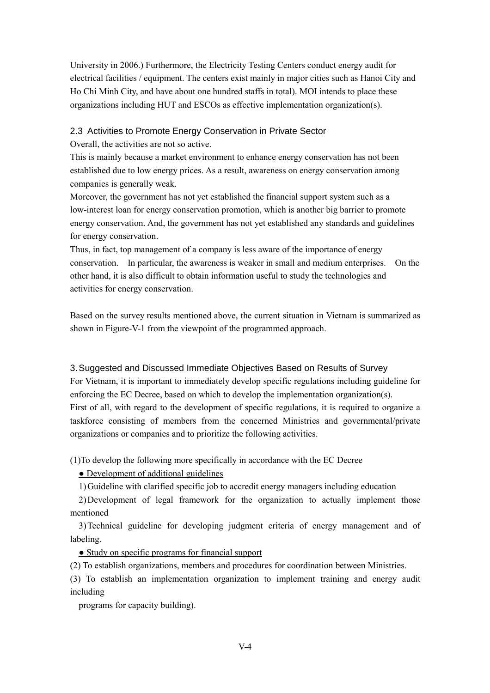University in 2006.) Furthermore, the Electricity Testing Centers conduct energy audit for electrical facilities / equipment. The centers exist mainly in major cities such as Hanoi City and Ho Chi Minh City, and have about one hundred staffs in total). MOI intends to place these organizations including HUT and ESCOs as effective implementation organization(s).

#### 2.3 Activities to Promote Energy Conservation in Private Sector

Overall, the activities are not so active.

This is mainly because a market environment to enhance energy conservation has not been established due to low energy prices. As a result, awareness on energy conservation among companies is generally weak.

Moreover, the government has not yet established the financial support system such as a low-interest loan for energy conservation promotion, which is another big barrier to promote energy conservation. And, the government has not yet established any standards and guidelines for energy conservation.

Thus, in fact, top management of a company is less aware of the importance of energy conservation. In particular, the awareness is weaker in small and medium enterprises. On the other hand, it is also difficult to obtain information useful to study the technologies and activities for energy conservation.

Based on the survey results mentioned above, the current situation in Vietnam is summarized as shown in Figure-V-1 from the viewpoint of the programmed approach.

# 3. Suggested and Discussed Immediate Objectives Based on Results of Survey

For Vietnam, it is important to immediately develop specific regulations including guideline for enforcing the EC Decree, based on which to develop the implementation organization(s). First of all, with regard to the development of specific regulations, it is required to organize a taskforce consisting of members from the concerned Ministries and governmental/private organizations or companies and to prioritize the following activities.

(1)To develop the following more specifically in accordance with the EC Decree

### • Development of additional guidelines

1) Guideline with clarified specific job to accredit energy managers including education

 2) Development of legal framework for the organization to actually implement those mentioned

 3) Technical guideline for developing judgment criteria of energy management and of labeling.

• Study on specific programs for financial support

(2) To establish organizations, members and procedures for coordination between Ministries.

(3) To establish an implementation organization to implement training and energy audit including

programs for capacity building).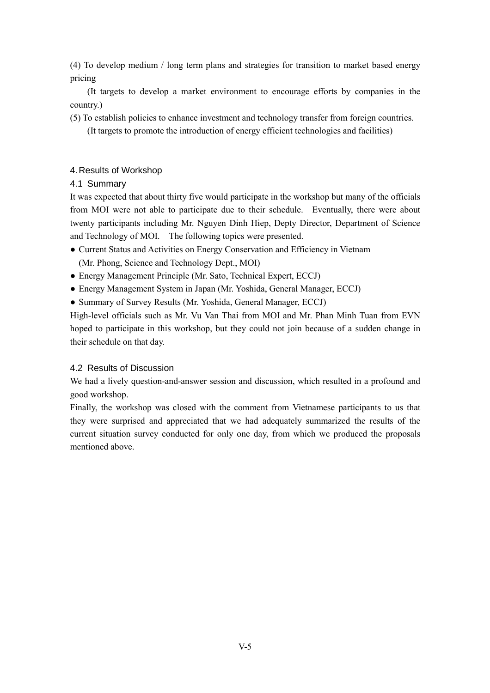(4) To develop medium / long term plans and strategies for transition to market based energy pricing

 (It targets to develop a market environment to encourage efforts by companies in the country.)

(5) To establish policies to enhance investment and technology transfer from foreign countries.

(It targets to promote the introduction of energy efficient technologies and facilities)

# 4. Results of Workshop

4.1 Summary

It was expected that about thirty five would participate in the workshop but many of the officials from MOI were not able to participate due to their schedule. Eventually, there were about twenty participants including Mr. Nguyen Dinh Hiep, Depty Director, Department of Science and Technology of MOI. The following topics were presented.

- Current Status and Activities on Energy Conservation and Efficiency in Vietnam (Mr. Phong, Science and Technology Dept., MOI)
- Energy Management Principle (Mr. Sato, Technical Expert, ECCJ)
- Energy Management System in Japan (Mr. Yoshida, General Manager, ECCJ)
- Summary of Survey Results (Mr. Yoshida, General Manager, ECCJ)

High-level officials such as Mr. Vu Van Thai from MOI and Mr. Phan Minh Tuan from EVN hoped to participate in this workshop, but they could not join because of a sudden change in their schedule on that day.

# 4.2 Results of Discussion

We had a lively question-and-answer session and discussion, which resulted in a profound and good workshop.

Finally, the workshop was closed with the comment from Vietnamese participants to us that they were surprised and appreciated that we had adequately summarized the results of the current situation survey conducted for only one day, from which we produced the proposals mentioned above.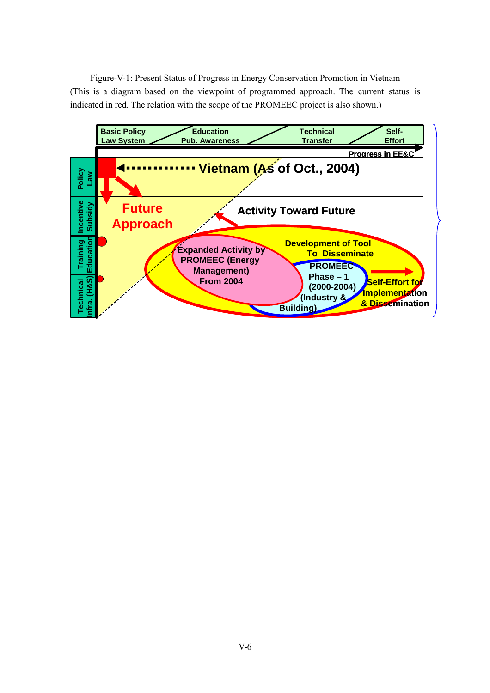Figure-V-1: Present Status of Progress in Energy Conservation Promotion in Vietnam (This is a diagram based on the viewpoint of programmed approach. The current status is indicated in red. The relation with the scope of the PROMEEC project is also shown.)

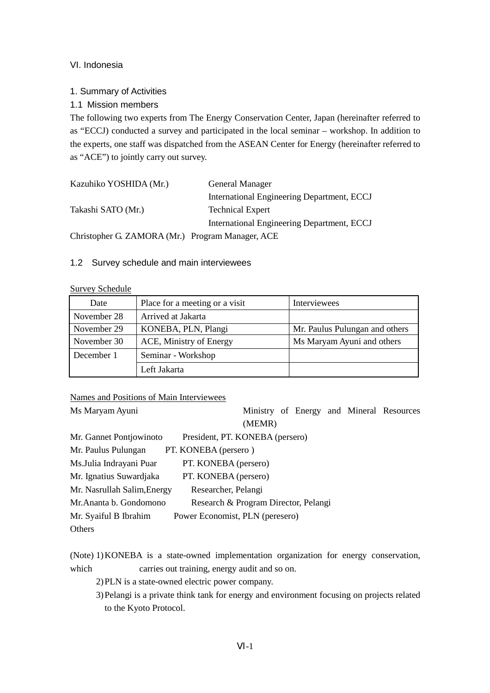# VI. Indonesia

# 1. Summary of Activities

1.1 Mission members

The following two experts from The Energy Conservation Center, Japan (hereinafter referred to as "ECCJ) conducted a survey and participated in the local seminar – workshop. In addition to the experts, one staff was dispatched from the ASEAN Center for Energy (hereinafter referred to as "ACE") to jointly carry out survey.

| Kazuhiko YOSHIDA (Mr.)                            | General Manager                            |
|---------------------------------------------------|--------------------------------------------|
|                                                   | International Engineering Department, ECCJ |
| Takashi SATO (Mr.)                                | <b>Technical Expert</b>                    |
|                                                   | International Engineering Department, ECCJ |
| $Chriatonber C 7AMOD A (Mr) Program Monogor A CE$ |                                            |

Christopher G. ZAMORA (Mr.) Program Manager, ACE

### 1.2 Survey schedule and main interviewees

#### Survey Schedule

| Date        | Place for a meeting or a visit | Interviewees                   |
|-------------|--------------------------------|--------------------------------|
| November 28 | Arrived at Jakarta             |                                |
| November 29 | KONEBA, PLN, Plangi            | Mr. Paulus Pulungan and others |
| November 30 | ACE, Ministry of Energy        | Ms Maryam Ayuni and others     |
| December 1  | Seminar - Workshop             |                                |
|             | Left Jakarta                   |                                |

Names and Positions of Main Interviewees

Ms Maryam Ayuni Ministry of Energy and Mineral Resources (MEMR)

Mr. Gannet Pontjowinoto President, PT. KONEBA (persero) Mr. Paulus Pulungan PT. KONEBA (persero ) Ms.Julia Indrayani Puar PT. KONEBA (persero) Mr. Ignatius Suwardjaka PT. KONEBA (persero) Mr. Nasrullah Salim,Energy Researcher, Pelangi

Mr.Ananta b. Gondomono Research & Program Director, Pelangi

Mr. Syaiful B Ibrahim Power Economist, PLN (peresero)

**Others** 

(Note) 1) KONEBA is a state-owned implementation organization for energy conservation, which carries out training, energy audit and so on.

2) PLN is a state-owned electric power company.

3) Pelangi is a private think tank for energy and environment focusing on projects related to the Kyoto Protocol.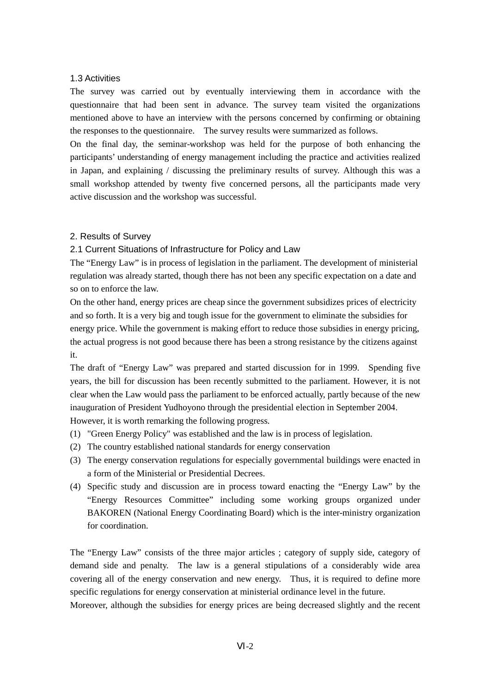#### 1.3 Activities

The survey was carried out by eventually interviewing them in accordance with the questionnaire that had been sent in advance. The survey team visited the organizations mentioned above to have an interview with the persons concerned by confirming or obtaining the responses to the questionnaire. The survey results were summarized as follows.

On the final day, the seminar-workshop was held for the purpose of both enhancing the participants' understanding of energy management including the practice and activities realized in Japan, and explaining / discussing the preliminary results of survey. Although this was a small workshop attended by twenty five concerned persons, all the participants made very active discussion and the workshop was successful.

#### 2. Results of Survey

### 2.1 Current Situations of Infrastructure for Policy and Law

The "Energy Law" is in process of legislation in the parliament. The development of ministerial regulation was already started, though there has not been any specific expectation on a date and so on to enforce the law.

On the other hand, energy prices are cheap since the government subsidizes prices of electricity and so forth. It is a very big and tough issue for the government to eliminate the subsidies for energy price. While the government is making effort to reduce those subsidies in energy pricing, the actual progress is not good because there has been a strong resistance by the citizens against it.

The draft of "Energy Law" was prepared and started discussion for in 1999. Spending five years, the bill for discussion has been recently submitted to the parliament. However, it is not clear when the Law would pass the parliament to be enforced actually, partly because of the new inauguration of President Yudhoyono through the presidential election in September 2004. However, it is worth remarking the following progress.

- (1) "Green Energy Policy" was established and the law is in process of legislation.
- (2) The country established national standards for energy conservation
- (3) The energy conservation regulations for especially governmental buildings were enacted in a form of the Ministerial or Presidential Decrees.
- (4) Specific study and discussion are in process toward enacting the "Energy Law" by the "Energy Resources Committee" including some working groups organized under BAKOREN (National Energy Coordinating Board) which is the inter-ministry organization for coordination.

The "Energy Law" consists of the three major articles ; category of supply side, category of demand side and penalty. The law is a general stipulations of a considerably wide area covering all of the energy conservation and new energy. Thus, it is required to define more specific regulations for energy conservation at ministerial ordinance level in the future.

Moreover, although the subsidies for energy prices are being decreased slightly and the recent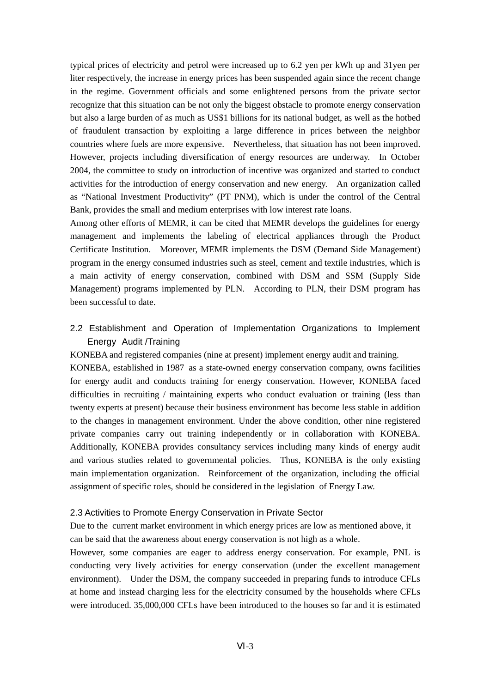typical prices of electricity and petrol were increased up to 6.2 yen per kWh up and 31yen per liter respectively, the increase in energy prices has been suspended again since the recent change in the regime. Government officials and some enlightened persons from the private sector recognize that this situation can be not only the biggest obstacle to promote energy conservation but also a large burden of as much as US\$1 billions for its national budget, as well as the hotbed of fraudulent transaction by exploiting a large difference in prices between the neighbor countries where fuels are more expensive. Nevertheless, that situation has not been improved. However, projects including diversification of energy resources are underway. In October 2004, the committee to study on introduction of incentive was organized and started to conduct activities for the introduction of energy conservation and new energy. An organization called as "National Investment Productivity" (PT PNM), which is under the control of the Central Bank, provides the small and medium enterprises with low interest rate loans.

Among other efforts of MEMR, it can be cited that MEMR develops the guidelines for energy management and implements the labeling of electrical appliances through the Product Certificate Institution. Moreover, MEMR implements the DSM (Demand Side Management) program in the energy consumed industries such as steel, cement and textile industries, which is a main activity of energy conservation, combined with DSM and SSM (Supply Side Management) programs implemented by PLN. According to PLN, their DSM program has been successful to date.

2.2 Establishment and Operation of Implementation Organizations to Implement Energy Audit /Training

KONEBA and registered companies (nine at present) implement energy audit and training. KONEBA, established in 1987 as a state-owned energy conservation company, owns facilities for energy audit and conducts training for energy conservation. However, KONEBA faced difficulties in recruiting / maintaining experts who conduct evaluation or training (less than twenty experts at present) because their business environment has become less stable in addition to the changes in management environment. Under the above condition, other nine registered private companies carry out training independently or in collaboration with KONEBA. Additionally, KONEBA provides consultancy services including many kinds of energy audit and various studies related to governmental policies. Thus, KONEBA is the only existing main implementation organization. Reinforcement of the organization, including the official assignment of specific roles, should be considered in the legislation of Energy Law.

#### 2.3 Activities to Promote Energy Conservation in Private Sector

Due to the current market environment in which energy prices are low as mentioned above, it can be said that the awareness about energy conservation is not high as a whole.

However, some companies are eager to address energy conservation. For example, PNL is conducting very lively activities for energy conservation (under the excellent management environment). Under the DSM, the company succeeded in preparing funds to introduce CFLs at home and instead charging less for the electricity consumed by the households where CFLs were introduced. 35,000,000 CFLs have been introduced to the houses so far and it is estimated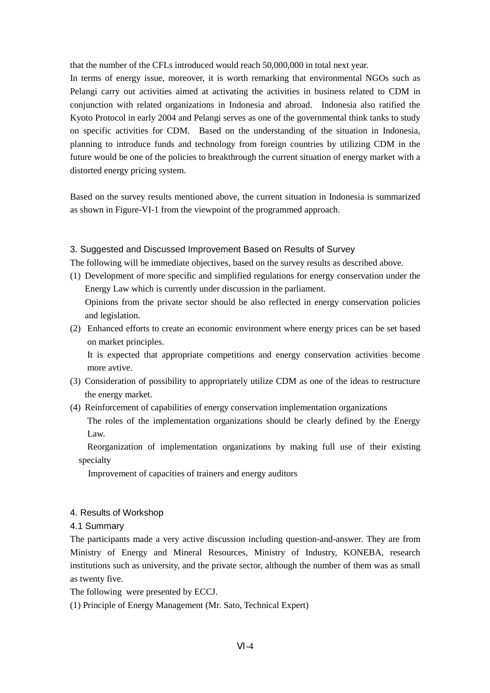that the number of the CFLs introduced would reach 50,000,000 in total next year.

In terms of energy issue, moreover, it is worth remarking that environmental NGOs such as Pelangi carry out activities aimed at activating the activities in business related to CDM in conjunction with related organizations in Indonesia and abroad. Indonesia also ratified the Kyoto Protocol in early 2004 and Pelangi serves as one of the governmental think tanks to study on specific activities for CDM. Based on the understanding of the situation in Indonesia, planning to introduce funds and technology from foreign countries by utilizing CDM in the future would be one of the policies to breakthrough the current situation of energy market with a distorted energy pricing system.

Based on the survey results mentioned above, the current situation in Indonesia is summarized as shown in Figure-VI-1 from the viewpoint of the programmed approach.

### 3. Suggested and Discussed Improvement Based on Results of Survey

The following will be immediate objectives, based on the survey results as described above.

(1) Development of more specific and simplified regulations for energy conservation under the Energy Law which is currently under discussion in the parliament.

Opinions from the private sector should be also reflected in energy conservation policies and legislation.

(2) Enhanced efforts to create an economic environment where energy prices can be set based on market principles.

It is expected that appropriate competitions and energy conservation activities become more avtive.

- (3) Consideration of possibility to appropriately utilize CDM as one of the ideas to restructure the energy market.
- (4) Reinforcement of capabilities of energy conservation implementation organizations

The roles of the implementation organizations should be clearly defined by the Energy Law.

Reorganization of implementation organizations by making full use of their existing specialty

Improvement of capacities of trainers and energy auditors

### 4. Results of Workshop

### 4.1 Summary

The participants made a very active discussion including question-and-answer. They are from Ministry of Energy and Mineral Resources, Ministry of Industry, KONEBA, research institutions such as university, and the private sector, although the number of them was as small as twenty five.

The following were presented by ECCJ.

(1) Principle of Energy Management (Mr. Sato, Technical Expert)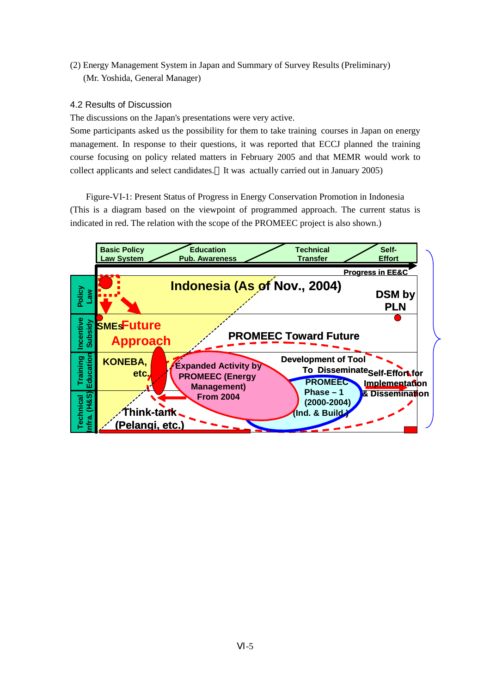(2) Energy Management System in Japan and Summary of Survey Results (Preliminary) (Mr. Yoshida, General Manager)

## 4.2 Results of Discussion

The discussions on the Japan's presentations were very active.

Some participants asked us the possibility for them to take training courses in Japan on energy management. In response to their questions, it was reported that ECCJ planned the training course focusing on policy related matters in February 2005 and that MEMR would work to collect applicants and select candidates. It was actually carried out in January 2005)

Figure-VI-1: Present Status of Progress in Energy Conservation Promotion in Indonesia (This is a diagram based on the viewpoint of programmed approach. The current status is indicated in red. The relation with the scope of the PROMEEC project is also shown.)

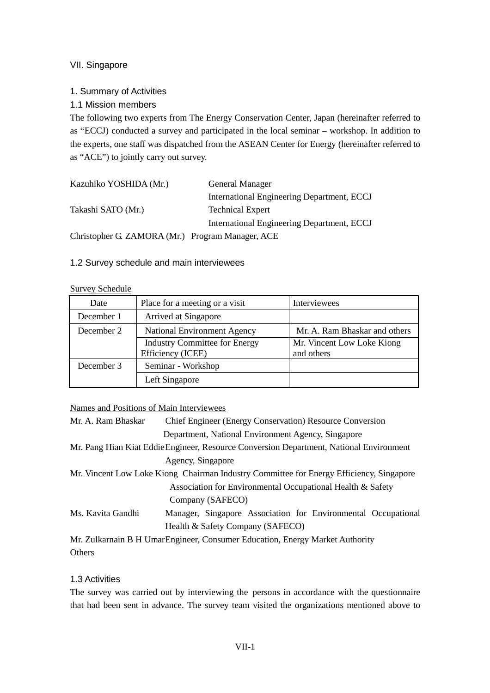## VII. Singapore

## 1. Summary of Activities

1.1 Mission members

The following two experts from The Energy Conservation Center, Japan (hereinafter referred to as "ECCJ) conducted a survey and participated in the local seminar – workshop. In addition to the experts, one staff was dispatched from the ASEAN Center for Energy (hereinafter referred to as "ACE") to jointly carry out survey.

| Kazuhiko YOSHIDA (Mr.)                           | <b>General Manager</b>                     |
|--------------------------------------------------|--------------------------------------------|
|                                                  | International Engineering Department, ECCJ |
| Takashi SATO (Mr.)                               | <b>Technical Expert</b>                    |
|                                                  | International Engineering Department, ECCJ |
| Christopher G. ZAMORA (Mr.) Program Manager, ACE |                                            |

1.2 Survey schedule and main interviewees

#### Survey Schedule

| Date       | Place for a meeting or a visit       | Interviewees                  |
|------------|--------------------------------------|-------------------------------|
| December 1 | Arrived at Singapore                 |                               |
| December 2 | <b>National Environment Agency</b>   | Mr. A. Ram Bhaskar and others |
|            | <b>Industry Committee for Energy</b> | Mr. Vincent Low Loke Kiong    |
|            | Efficiency (ICEE)                    | and others                    |
| December 3 | Seminar - Workshop                   |                               |
|            | Left Singapore                       |                               |

## Names and Positions of Main Interviewees

| Mr. A. Ram Bhaskar | <b>Chief Engineer (Energy Conservation) Resource Conversion</b>                         |
|--------------------|-----------------------------------------------------------------------------------------|
|                    | Department, National Environment Agency, Singapore                                      |
|                    | Mr. Pang Hian Kiat Eddie Engineer, Resource Conversion Department, National Environment |
|                    | Agency, Singapore                                                                       |
|                    | Mr. Vincent Low Loke Kiong Chairman Industry Committee for Energy Efficiency, Singapore |
|                    | Association for Environmental Occupational Health & Safety                              |
|                    | Company (SAFECO)                                                                        |
| Ms. Kavita Gandhi  | Manager, Singapore Association for Environmental Occupational                           |
|                    | Health & Safety Company (SAFECO)                                                        |
|                    | Mr. Zulkarnain B H UmarEngineer, Consumer Education, Energy Market Authority            |
| Others             |                                                                                         |

## 1.3 Activities

The survey was carried out by interviewing the persons in accordance with the questionnaire that had been sent in advance. The survey team visited the organizations mentioned above to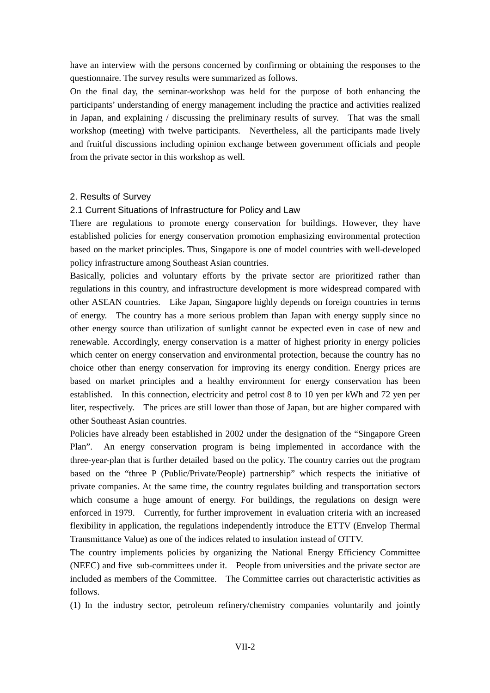have an interview with the persons concerned by confirming or obtaining the responses to the questionnaire. The survey results were summarized as follows.

On the final day, the seminar-workshop was held for the purpose of both enhancing the participants' understanding of energy management including the practice and activities realized in Japan, and explaining / discussing the preliminary results of survey. That was the small workshop (meeting) with twelve participants. Nevertheless, all the participants made lively and fruitful discussions including opinion exchange between government officials and people from the private sector in this workshop as well.

#### 2. Results of Survey

#### 2.1 Current Situations of Infrastructure for Policy and Law

There are regulations to promote energy conservation for buildings. However, they have established policies for energy conservation promotion emphasizing environmental protection based on the market principles. Thus, Singapore is one of model countries with well-developed policy infrastructure among Southeast Asian countries.

Basically, policies and voluntary efforts by the private sector are prioritized rather than regulations in this country, and infrastructure development is more widespread compared with other ASEAN countries. Like Japan, Singapore highly depends on foreign countries in terms of energy. The country has a more serious problem than Japan with energy supply since no other energy source than utilization of sunlight cannot be expected even in case of new and renewable. Accordingly, energy conservation is a matter of highest priority in energy policies which center on energy conservation and environmental protection, because the country has no choice other than energy conservation for improving its energy condition. Energy prices are based on market principles and a healthy environment for energy conservation has been established. In this connection, electricity and petrol cost 8 to 10 yen per kWh and 72 yen per liter, respectively. The prices are still lower than those of Japan, but are higher compared with other Southeast Asian countries.

Policies have already been established in 2002 under the designation of the "Singapore Green Plan". An energy conservation program is being implemented in accordance with the three-year-plan that is further detailed based on the policy. The country carries out the program based on the "three P (Public/Private/People) partnership" which respects the initiative of private companies. At the same time, the country regulates building and transportation sectors which consume a huge amount of energy. For buildings, the regulations on design were enforced in 1979. Currently, for further improvement in evaluation criteria with an increased flexibility in application, the regulations independently introduce the ETTV (Envelop Thermal Transmittance Value) as one of the indices related to insulation instead of OTTV.

The country implements policies by organizing the National Energy Efficiency Committee (NEEC) and five sub-committees under it. People from universities and the private sector are included as members of the Committee. The Committee carries out characteristic activities as follows.

(1) In the industry sector, petroleum refinery/chemistry companies voluntarily and jointly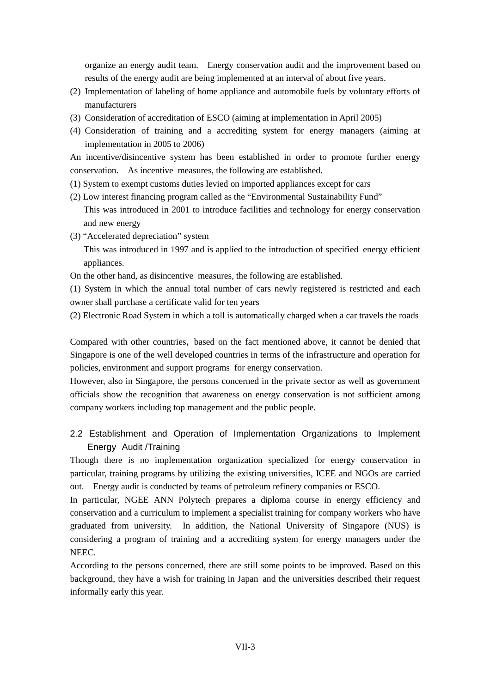organize an energy audit team. Energy conservation audit and the improvement based on results of the energy audit are being implemented at an interval of about five years.

- (2) Implementation of labeling of home appliance and automobile fuels by voluntary efforts of manufacturers
- (3) Consideration of accreditation of ESCO (aiming at implementation in April 2005)
- (4) Consideration of training and a accrediting system for energy managers (aiming at implementation in 2005 to 2006)

An incentive/disincentive system has been established in order to promote further energy conservation. As incentive measures, the following are established.

- (1) System to exempt customs duties levied on imported appliances except for cars
- (2) Low interest financing program called as the "Environmental Sustainability Fund" This was introduced in 2001 to introduce facilities and technology for energy conservation and new energy
- (3) "Accelerated depreciation" system

This was introduced in 1997 and is applied to the introduction of specified energy efficient appliances.

On the other hand, as disincentive measures, the following are established.

(1) System in which the annual total number of cars newly registered is restricted and each owner shall purchase a certificate valid for ten years

(2) Electronic Road System in which a toll is automatically charged when a car travels the roads

Compared with other countries, based on the fact mentioned above, it cannot be denied that Singapore is one of the well developed countries in terms of the infrastructure and operation for policies, environment and support programs for energy conservation.

However, also in Singapore, the persons concerned in the private sector as well as government officials show the recognition that awareness on energy conservation is not sufficient among company workers including top management and the public people.

## 2.2 Establishment and Operation of Implementation Organizations to Implement Energy Audit /Training

Though there is no implementation organization specialized for energy conservation in particular, training programs by utilizing the existing universities, ICEE and NGOs are carried out. Energy audit is conducted by teams of petroleum refinery companies or ESCO.

In particular, NGEE ANN Polytech prepares a diploma course in energy efficiency and conservation and a curriculum to implement a specialist training for company workers who have graduated from university. In addition, the National University of Singapore (NUS) is considering a program of training and a accrediting system for energy managers under the NEEC.

According to the persons concerned, there are still some points to be improved. Based on this background, they have a wish for training in Japan and the universities described their request informally early this year.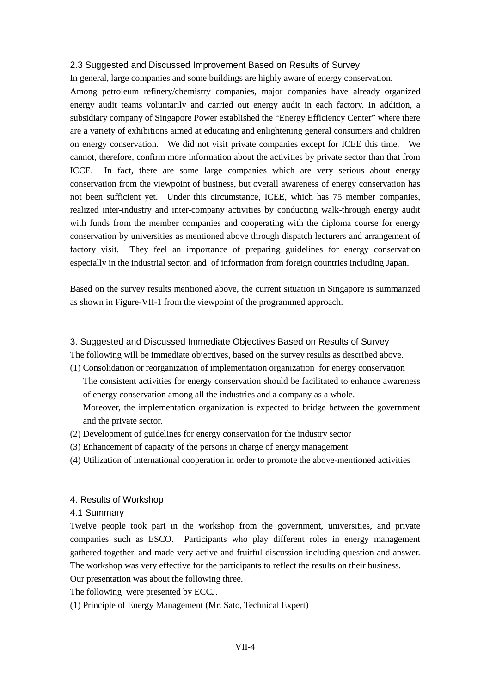#### 2.3 Suggested and Discussed Improvement Based on Results of Survey

In general, large companies and some buildings are highly aware of energy conservation.

Among petroleum refinery/chemistry companies, major companies have already organized energy audit teams voluntarily and carried out energy audit in each factory. In addition, a subsidiary company of Singapore Power established the "Energy Efficiency Center" where there are a variety of exhibitions aimed at educating and enlightening general consumers and children on energy conservation. We did not visit private companies except for ICEE this time. We cannot, therefore, confirm more information about the activities by private sector than that from ICCE. In fact, there are some large companies which are very serious about energy conservation from the viewpoint of business, but overall awareness of energy conservation has not been sufficient yet. Under this circumstance, ICEE, which has 75 member companies, realized inter-industry and inter-company activities by conducting walk-through energy audit with funds from the member companies and cooperating with the diploma course for energy conservation by universities as mentioned above through dispatch lecturers and arrangement of factory visit. They feel an importance of preparing guidelines for energy conservation especially in the industrial sector, and of information from foreign countries including Japan.

Based on the survey results mentioned above, the current situation in Singapore is summarized as shown in Figure-VII-1 from the viewpoint of the programmed approach.

#### 3. Suggested and Discussed Immediate Objectives Based on Results of Survey

The following will be immediate objectives, based on the survey results as described above.

- (1) Consolidation or reorganization of implementation organization for energy conservation The consistent activities for energy conservation should be facilitated to enhance awareness of energy conservation among all the industries and a company as a whole. Moreover, the implementation organization is expected to bridge between the government and the private sector.
- (2) Development of guidelines for energy conservation for the industry sector
- (3) Enhancement of capacity of the persons in charge of energy management
- (4) Utilization of international cooperation in order to promote the above-mentioned activities

## 4. Results of Workshop

#### 4.1 Summary

Twelve people took part in the workshop from the government, universities, and private companies such as ESCO. Participants who play different roles in energy management gathered together and made very active and fruitful discussion including question and answer. The workshop was very effective for the participants to reflect the results on their business.

Our presentation was about the following three.

The following were presented by ECCJ.

(1) Principle of Energy Management (Mr. Sato, Technical Expert)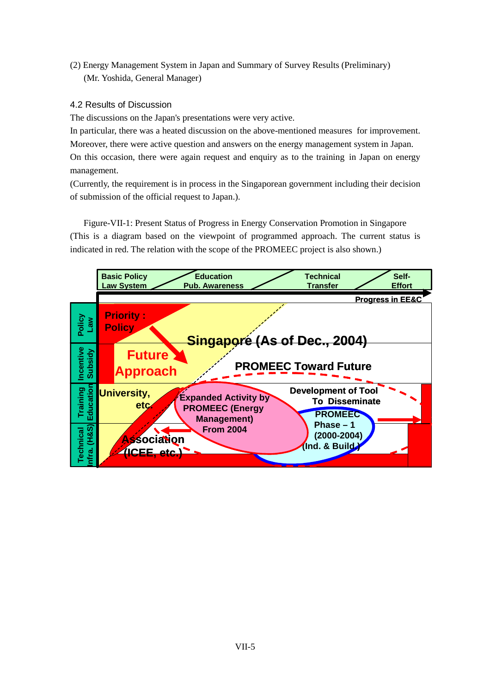(2) Energy Management System in Japan and Summary of Survey Results (Preliminary) (Mr. Yoshida, General Manager)

## 4.2 Results of Discussion

The discussions on the Japan's presentations were very active.

In particular, there was a heated discussion on the above-mentioned measures for improvement. Moreover, there were active question and answers on the energy management system in Japan. On this occasion, there were again request and enquiry as to the training in Japan on energy management.

(Currently, the requirement is in process in the Singaporean government including their decision of submission of the official request to Japan.).

Figure-VII-1: Present Status of Progress in Energy Conservation Promotion in Singapore (This is a diagram based on the viewpoint of programmed approach. The current status is indicated in red. The relation with the scope of the PROMEEC project is also shown.)

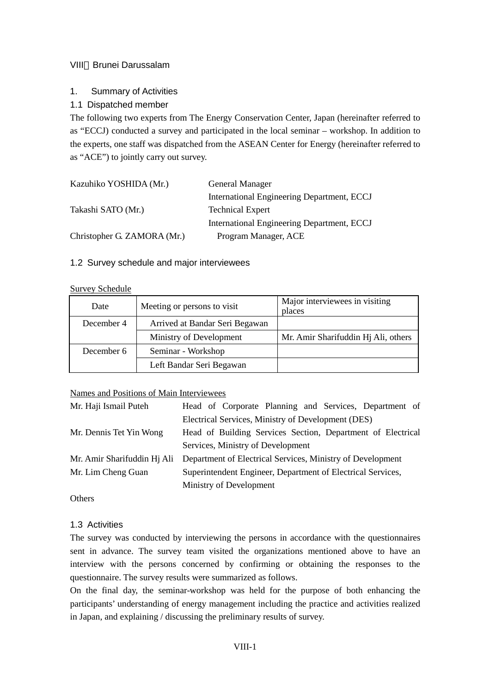## VIII Brunei Darussalam

## 1. Summary of Activities

## 1.1 Dispatched member

The following two experts from The Energy Conservation Center, Japan (hereinafter referred to as "ECCJ) conducted a survey and participated in the local seminar – workshop. In addition to the experts, one staff was dispatched from the ASEAN Center for Energy (hereinafter referred to as "ACE") to jointly carry out survey.

| Kazuhiko YOSHIDA (Mr.)      | General Manager                            |
|-----------------------------|--------------------------------------------|
|                             | International Engineering Department, ECCJ |
| Takashi SATO (Mr.)          | <b>Technical Expert</b>                    |
|                             | International Engineering Department, ECCJ |
| Christopher G. ZAMORA (Mr.) | Program Manager, ACE                       |

## 1.2 Survey schedule and major interviewees

#### Survey Schedule

| Date       | Meeting or persons to visit    | Major interviewees in visiting<br>places |
|------------|--------------------------------|------------------------------------------|
| December 4 | Arrived at Bandar Seri Begawan |                                          |
|            | Ministry of Development        | Mr. Amir Sharifuddin Hj Ali, others      |
| December 6 | Seminar - Workshop             |                                          |
|            | Left Bandar Seri Begawan       |                                          |

## Names and Positions of Main Interviewees

| Mr. Haji Ismail Puteh   | Head of Corporate Planning and Services, Department of                                 |  |
|-------------------------|----------------------------------------------------------------------------------------|--|
|                         | Electrical Services, Ministry of Development (DES)                                     |  |
| Mr. Dennis Tet Yin Wong | Head of Building Services Section, Department of Electrical                            |  |
|                         | Services, Ministry of Development                                                      |  |
|                         | Mr. Amir Sharifuddin Hj Ali Department of Electrical Services, Ministry of Development |  |
| Mr. Lim Cheng Guan      | Superintendent Engineer, Department of Electrical Services,                            |  |
|                         | Ministry of Development                                                                |  |

**Others** 

## 1.3 Activities

The survey was conducted by interviewing the persons in accordance with the questionnaires sent in advance. The survey team visited the organizations mentioned above to have an interview with the persons concerned by confirming or obtaining the responses to the questionnaire. The survey results were summarized as follows.

On the final day, the seminar-workshop was held for the purpose of both enhancing the participants' understanding of energy management including the practice and activities realized in Japan, and explaining / discussing the preliminary results of survey.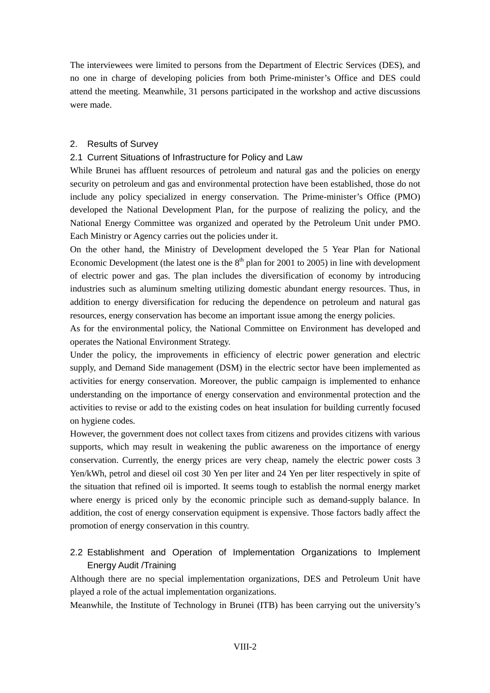The interviewees were limited to persons from the Department of Electric Services (DES), and no one in charge of developing policies from both Prime-minister's Office and DES could attend the meeting. Meanwhile, 31 persons participated in the workshop and active discussions were made.

## 2. Results of Survey

## 2.1 Current Situations of Infrastructure for Policy and Law

While Brunei has affluent resources of petroleum and natural gas and the policies on energy security on petroleum and gas and environmental protection have been established, those do not include any policy specialized in energy conservation. The Prime-minister's Office (PMO) developed the National Development Plan, for the purpose of realizing the policy, and the National Energy Committee was organized and operated by the Petroleum Unit under PMO. Each Ministry or Agency carries out the policies under it.

On the other hand, the Ministry of Development developed the 5 Year Plan for National Economic Development (the latest one is the  $8<sup>th</sup>$  plan for 2001 to 2005) in line with development of electric power and gas. The plan includes the diversification of economy by introducing industries such as aluminum smelting utilizing domestic abundant energy resources. Thus, in addition to energy diversification for reducing the dependence on petroleum and natural gas resources, energy conservation has become an important issue among the energy policies.

As for the environmental policy, the National Committee on Environment has developed and operates the National Environment Strategy.

Under the policy, the improvements in efficiency of electric power generation and electric supply, and Demand Side management (DSM) in the electric sector have been implemented as activities for energy conservation. Moreover, the public campaign is implemented to enhance understanding on the importance of energy conservation and environmental protection and the activities to revise or add to the existing codes on heat insulation for building currently focused on hygiene codes.

However, the government does not collect taxes from citizens and provides citizens with various supports, which may result in weakening the public awareness on the importance of energy conservation. Currently, the energy prices are very cheap, namely the electric power costs 3 Yen/kWh, petrol and diesel oil cost 30 Yen per liter and 24 Yen per liter respectively in spite of the situation that refined oil is imported. It seems tough to establish the normal energy market where energy is priced only by the economic principle such as demand-supply balance. In addition, the cost of energy conservation equipment is expensive. Those factors badly affect the promotion of energy conservation in this country.

## 2.2 Establishment and Operation of Implementation Organizations to Implement Energy Audit /Training

Although there are no special implementation organizations, DES and Petroleum Unit have played a role of the actual implementation organizations.

Meanwhile, the Institute of Technology in Brunei (ITB) has been carrying out the university's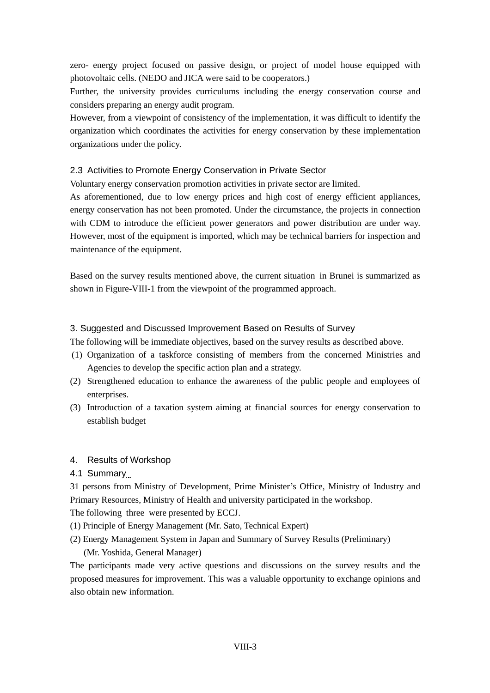zero- energy project focused on passive design, or project of model house equipped with photovoltaic cells. (NEDO and JICA were said to be cooperators.)

Further, the university provides curriculums including the energy conservation course and considers preparing an energy audit program.

However, from a viewpoint of consistency of the implementation, it was difficult to identify the organization which coordinates the activities for energy conservation by these implementation organizations under the policy.

## 2.3 Activities to Promote Energy Conservation in Private Sector

Voluntary energy conservation promotion activities in private sector are limited.

As aforementioned, due to low energy prices and high cost of energy efficient appliances, energy conservation has not been promoted. Under the circumstance, the projects in connection with CDM to introduce the efficient power generators and power distribution are under way. However, most of the equipment is imported, which may be technical barriers for inspection and maintenance of the equipment.

Based on the survey results mentioned above, the current situation in Brunei is summarized as shown in Figure-VIII-1 from the viewpoint of the programmed approach.

## 3. Suggested and Discussed Improvement Based on Results of Survey

The following will be immediate objectives, based on the survey results as described above.

- (1) Organization of a taskforce consisting of members from the concerned Ministries and Agencies to develop the specific action plan and a strategy.
- (2) Strengthened education to enhance the awareness of the public people and employees of enterprises.
- (3) Introduction of a taxation system aiming at financial sources for energy conservation to establish budget

## 4. Results of Workshop

4.1 Summary

31 persons from Ministry of Development, Prime Minister's Office, Ministry of Industry and Primary Resources, Ministry of Health and university participated in the workshop.

The following three were presented by ECCJ.

- (1) Principle of Energy Management (Mr. Sato, Technical Expert)
- (2) Energy Management System in Japan and Summary of Survey Results (Preliminary)

(Mr. Yoshida, General Manager)

The participants made very active questions and discussions on the survey results and the proposed measures for improvement. This was a valuable opportunity to exchange opinions and also obtain new information.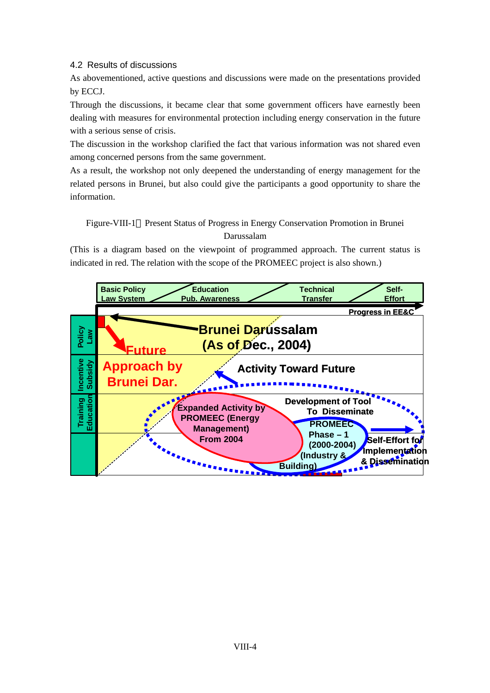4.2 Results of discussions

As abovementioned, active questions and discussions were made on the presentations provided by ECCJ.

Through the discussions, it became clear that some government officers have earnestly been dealing with measures for environmental protection including energy conservation in the future with a serious sense of crisis.

The discussion in the workshop clarified the fact that various information was not shared even among concerned persons from the same government.

As a result, the workshop not only deepened the understanding of energy management for the related persons in Brunei, but also could give the participants a good opportunity to share the information.

Figure-VIII-1 Present Status of Progress in Energy Conservation Promotion in Brunei Darussalam

(This is a diagram based on the viewpoint of programmed approach. The current status is indicated in red. The relation with the scope of the PROMEEC project is also shown.)

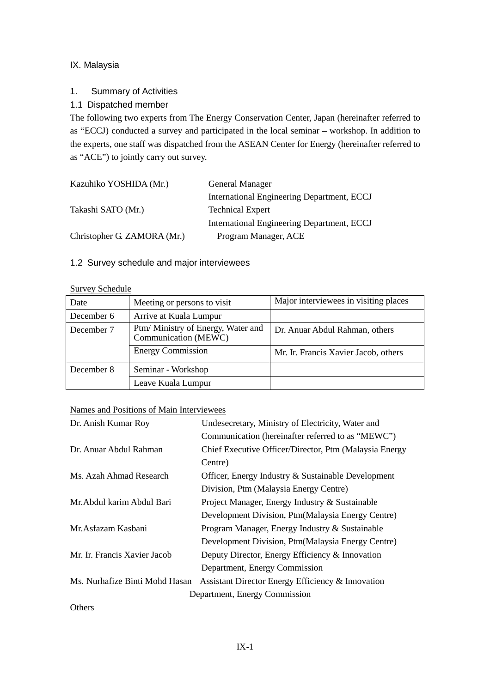## IX. Malaysia

## 1. Summary of Activities

## 1.1 Dispatched member

The following two experts from The Energy Conservation Center, Japan (hereinafter referred to as "ECCJ) conducted a survey and participated in the local seminar – workshop. In addition to the experts, one staff was dispatched from the ASEAN Center for Energy (hereinafter referred to as "ACE") to jointly carry out survey.

| Kazuhiko YOSHIDA (Mr.)      | General Manager                            |
|-----------------------------|--------------------------------------------|
|                             | International Engineering Department, ECCJ |
| Takashi SATO (Mr.)          | <b>Technical Expert</b>                    |
|                             | International Engineering Department, ECCJ |
| Christopher G. ZAMORA (Mr.) | Program Manager, ACE                       |

## 1.2 Survey schedule and major interviewees

#### Survey Schedule

| Date       | Meeting or persons to visit                                | Major interviewees in visiting places |
|------------|------------------------------------------------------------|---------------------------------------|
| December 6 | Arrive at Kuala Lumpur                                     |                                       |
| December 7 | Ptm/ Ministry of Energy, Water and<br>Communication (MEWC) | Dr. Anuar Abdul Rahman, others        |
|            | <b>Energy Commission</b>                                   | Mr. Ir. Francis Xavier Jacob, others  |
| December 8 | Seminar - Workshop                                         |                                       |
|            | Leave Kuala Lumpur                                         |                                       |

## Names and Positions of Main Interviewees

| Dr. Anish Kumar Roy            | Undesecretary, Ministry of Electricity, Water and      |
|--------------------------------|--------------------------------------------------------|
|                                | Communication (hereinafter referred to as "MEWC")      |
| Dr. Anuar Abdul Rahman         | Chief Executive Officer/Director, Ptm (Malaysia Energy |
|                                | Centre)                                                |
| Ms. Azah Ahmad Research        | Officer, Energy Industry & Sustainable Development     |
|                                | Division, Ptm (Malaysia Energy Centre)                 |
| Mr. Abdul karim Abdul Bari     | Project Manager, Energy Industry & Sustainable         |
|                                | Development Division, Ptm (Malaysia Energy Centre)     |
| Mr. Asfazam Kasbani            | Program Manager, Energy Industry & Sustainable         |
|                                | Development Division, Ptm (Malaysia Energy Centre)     |
| Mr. Ir. Francis Xavier Jacob   | Deputy Director, Energy Efficiency & Innovation        |
|                                | Department, Energy Commission                          |
| Ms. Nurhafize Binti Mohd Hasan | Assistant Director Energy Efficiency & Innovation      |
|                                | Department, Energy Commission                          |
| Others                         |                                                        |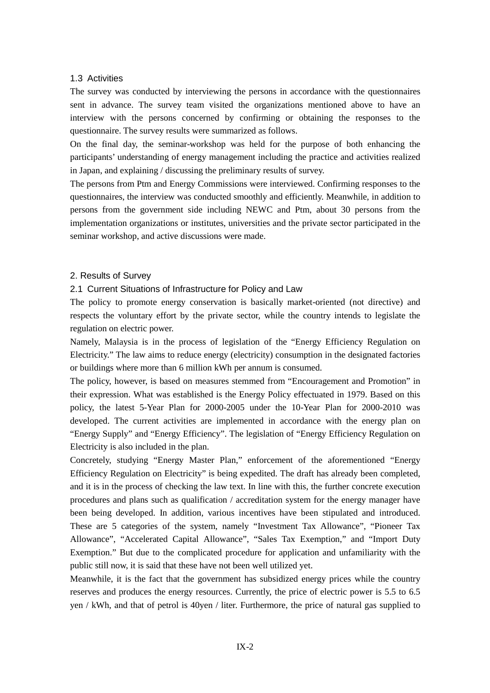#### 1.3 Activities

The survey was conducted by interviewing the persons in accordance with the questionnaires sent in advance. The survey team visited the organizations mentioned above to have an interview with the persons concerned by confirming or obtaining the responses to the questionnaire. The survey results were summarized as follows.

On the final day, the seminar-workshop was held for the purpose of both enhancing the participants' understanding of energy management including the practice and activities realized in Japan, and explaining / discussing the preliminary results of survey.

The persons from Ptm and Energy Commissions were interviewed. Confirming responses to the questionnaires, the interview was conducted smoothly and efficiently. Meanwhile, in addition to persons from the government side including NEWC and Ptm, about 30 persons from the implementation organizations or institutes, universities and the private sector participated in the seminar workshop, and active discussions were made.

#### 2. Results of Survey

## 2.1 Current Situations of Infrastructure for Policy and Law

The policy to promote energy conservation is basically market-oriented (not directive) and respects the voluntary effort by the private sector, while the country intends to legislate the regulation on electric power.

Namely, Malaysia is in the process of legislation of the "Energy Efficiency Regulation on Electricity." The law aims to reduce energy (electricity) consumption in the designated factories or buildings where more than 6 million kWh per annum is consumed.

The policy, however, is based on measures stemmed from "Encouragement and Promotion" in their expression. What was established is the Energy Policy effectuated in 1979. Based on this policy, the latest 5-Year Plan for 2000-2005 under the 10-Year Plan for 2000-2010 was developed. The current activities are implemented in accordance with the energy plan on "Energy Supply" and "Energy Efficiency". The legislation of "Energy Efficiency Regulation on Electricity is also included in the plan.

Concretely, studying "Energy Master Plan," enforcement of the aforementioned "Energy Efficiency Regulation on Electricity" is being expedited. The draft has already been completed, and it is in the process of checking the law text. In line with this, the further concrete execution procedures and plans such as qualification / accreditation system for the energy manager have been being developed. In addition, various incentives have been stipulated and introduced. These are 5 categories of the system, namely "Investment Tax Allowance", "Pioneer Tax Allowance", "Accelerated Capital Allowance", "Sales Tax Exemption," and "Import Duty Exemption." But due to the complicated procedure for application and unfamiliarity with the public still now, it is said that these have not been well utilized yet.

Meanwhile, it is the fact that the government has subsidized energy prices while the country reserves and produces the energy resources. Currently, the price of electric power is 5.5 to 6.5 yen / kWh, and that of petrol is 40yen / liter. Furthermore, the price of natural gas supplied to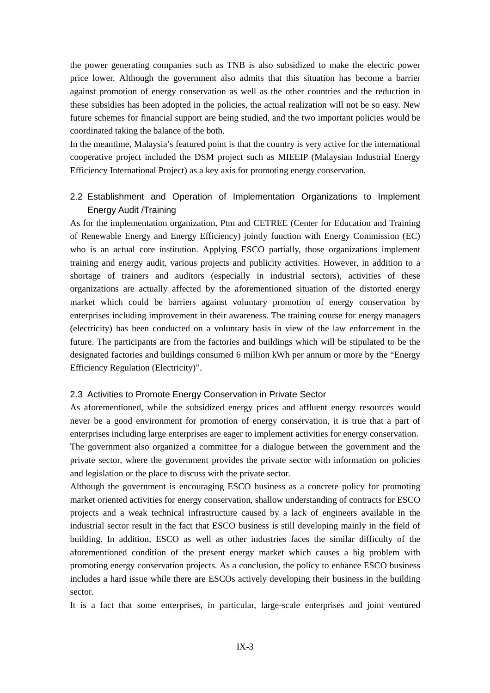the power generating companies such as TNB is also subsidized to make the electric power price lower. Although the government also admits that this situation has become a barrier against promotion of energy conservation as well as the other countries and the reduction in these subsidies has been adopted in the policies, the actual realization will not be so easy. New future schemes for financial support are being studied, and the two important policies would be coordinated taking the balance of the both.

In the meantime, Malaysia's featured point is that the country is very active for the international cooperative project included the DSM project such as MIEEIP (Malaysian Industrial Energy Efficiency International Project) as a key axis for promoting energy conservation.

## 2.2 Establishment and Operation of Implementation Organizations to Implement Energy Audit /Training

As for the implementation organization, Ptm and CETREE (Center for Education and Training of Renewable Energy and Energy Efficiency) jointly function with Energy Commission (EC) who is an actual core institution. Applying ESCO partially, those organizations implement training and energy audit, various projects and publicity activities. However, in addition to a shortage of trainers and auditors (especially in industrial sectors), activities of these organizations are actually affected by the aforementioned situation of the distorted energy market which could be barriers against voluntary promotion of energy conservation by enterprises including improvement in their awareness. The training course for energy managers (electricity) has been conducted on a voluntary basis in view of the law enforcement in the future. The participants are from the factories and buildings which will be stipulated to be the designated factories and buildings consumed 6 million kWh per annum or more by the "Energy Efficiency Regulation (Electricity)".

## 2.3 Activities to Promote Energy Conservation in Private Sector

As aforementioned, while the subsidized energy prices and affluent energy resources would never be a good environment for promotion of energy conservation, it is true that a part of enterprises including large enterprises are eager to implement activities for energy conservation. The government also organized a committee for a dialogue between the government and the private sector, where the government provides the private sector with information on policies and legislation or the place to discuss with the private sector.

Although the government is encouraging ESCO business as a concrete policy for promoting market oriented activities for energy conservation, shallow understanding of contracts for ESCO projects and a weak technical infrastructure caused by a lack of engineers available in the industrial sector result in the fact that ESCO business is still developing mainly in the field of building. In addition, ESCO as well as other industries faces the similar difficulty of the aforementioned condition of the present energy market which causes a big problem with promoting energy conservation projects. As a conclusion, the policy to enhance ESCO business includes a hard issue while there are ESCOs actively developing their business in the building sector.

It is a fact that some enterprises, in particular, large-scale enterprises and joint ventured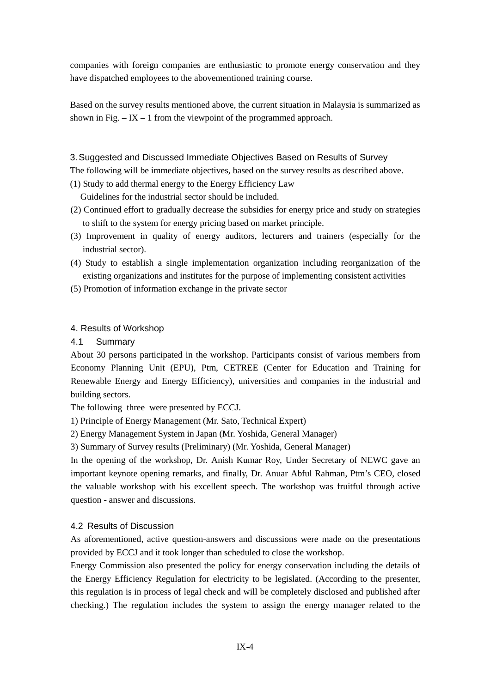companies with foreign companies are enthusiastic to promote energy conservation and they have dispatched employees to the abovementioned training course.

Based on the survey results mentioned above, the current situation in Malaysia is summarized as shown in Fig.  $-$  IX  $-$  1 from the viewpoint of the programmed approach.

## 3. Suggested and Discussed Immediate Objectives Based on Results of Survey

The following will be immediate objectives, based on the survey results as described above.

(1) Study to add thermal energy to the Energy Efficiency Law

Guidelines for the industrial sector should be included.

- (2) Continued effort to gradually decrease the subsidies for energy price and study on strategies to shift to the system for energy pricing based on market principle.
- (3) Improvement in quality of energy auditors, lecturers and trainers (especially for the industrial sector).
- (4) Study to establish a single implementation organization including reorganization of the existing organizations and institutes for the purpose of implementing consistent activities
- (5) Promotion of information exchange in the private sector

## 4. Results of Workshop

4.1 Summary

About 30 persons participated in the workshop. Participants consist of various members from Economy Planning Unit (EPU), Ptm, CETREE (Center for Education and Training for Renewable Energy and Energy Efficiency), universities and companies in the industrial and building sectors.

The following three were presented by ECCJ.

1) Principle of Energy Management (Mr. Sato, Technical Expert)

2) Energy Management System in Japan (Mr. Yoshida, General Manager)

3) Summary of Survey results (Preliminary) (Mr. Yoshida, General Manager)

In the opening of the workshop, Dr. Anish Kumar Roy, Under Secretary of NEWC gave an important keynote opening remarks, and finally, Dr. Anuar Abful Rahman, Ptm's CEO, closed the valuable workshop with his excellent speech. The workshop was fruitful through active question - answer and discussions.

## 4.2 Results of Discussion

As aforementioned, active question-answers and discussions were made on the presentations provided by ECCJ and it took longer than scheduled to close the workshop.

Energy Commission also presented the policy for energy conservation including the details of the Energy Efficiency Regulation for electricity to be legislated. (According to the presenter, this regulation is in process of legal check and will be completely disclosed and published after checking.) The regulation includes the system to assign the energy manager related to the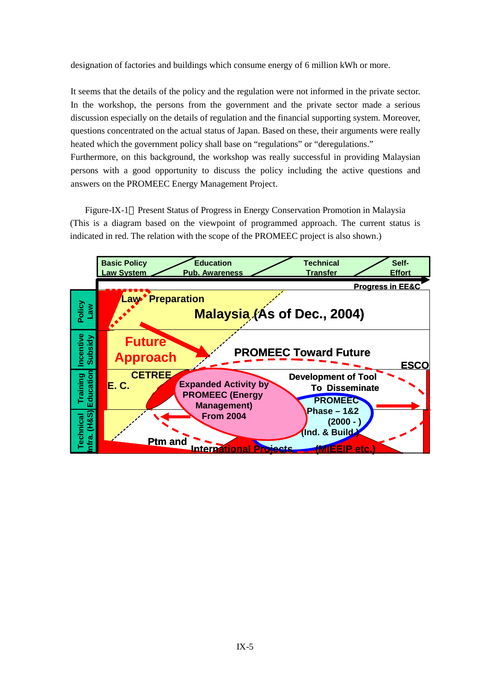designation of factories and buildings which consume energy of 6 million kWh or more.

It seems that the details of the policy and the regulation were not informed in the private sector. In the workshop, the persons from the government and the private sector made a serious discussion especially on the details of regulation and the financial supporting system. Moreover, questions concentrated on the actual status of Japan. Based on these, their arguments were really heated which the government policy shall base on "regulations" or "deregulations." Furthermore, on this background, the workshop was really successful in providing Malaysian persons with a good opportunity to discuss the policy including the active questions and answers on the PROMEEC Energy Management Project.

Figure-IX-1 Present Status of Progress in Energy Conservation Promotion in Malaysia (This is a diagram based on the viewpoint of programmed approach. The current status is indicated in red. The relation with the scope of the PROMEEC project is also shown.)

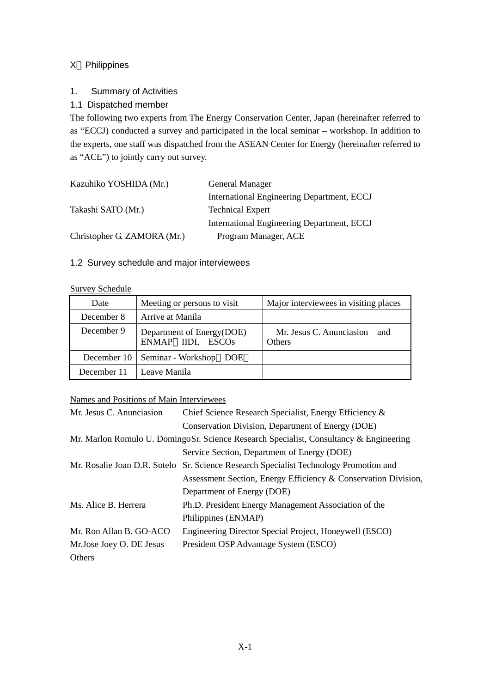## X Philippines

## 1. Summary of Activities

## 1.1 Dispatched member

The following two experts from The Energy Conservation Center, Japan (hereinafter referred to as "ECCJ) conducted a survey and participated in the local seminar – workshop. In addition to the experts, one staff was dispatched from the ASEAN Center for Energy (hereinafter referred to as "ACE") to jointly carry out survey.

| Kazuhiko YOSHIDA (Mr.)      | General Manager                            |
|-----------------------------|--------------------------------------------|
|                             | International Engineering Department, ECCJ |
| Takashi SATO (Mr.)          | <b>Technical Expert</b>                    |
|                             | International Engineering Department, ECCJ |
| Christopher G. ZAMORA (Mr.) | Program Manager, ACE                       |

## 1.2 Survey schedule and major interviewees

#### Survey Schedule

| Date        | Meeting or persons to visit                    | Major interviewees in visiting places         |
|-------------|------------------------------------------------|-----------------------------------------------|
| December 8  | Arrive at Manila                               |                                               |
| December 9  | Department of Energy(DOE)<br>ENMAP IIDI, ESCOS | Mr. Jesus C. Anunciasion and<br><b>Others</b> |
| December 10 | Seminar - Workshop DOE                         |                                               |
| December 11 | Leave Manila                                   |                                               |

## Names and Positions of Main Interviewees

| Mr. Jesus C. Anunciasion | Chief Science Research Specialist, Energy Efficiency &                                 |  |
|--------------------------|----------------------------------------------------------------------------------------|--|
|                          | Conservation Division, Department of Energy (DOE)                                      |  |
|                          | Mr. Marlon Romulo U. DomingoSr. Science Research Specialist, Consultancy & Engineering |  |
|                          | Service Section, Department of Energy (DOE)                                            |  |
|                          | Mr. Rosalie Joan D.R. Sotelo Sr. Science Research Specialist Technology Promotion and  |  |
|                          | Assessment Section, Energy Efficiency & Conservation Division,                         |  |
|                          | Department of Energy (DOE)                                                             |  |
| Ms. Alice B. Herrera     | Ph.D. President Energy Management Association of the                                   |  |
|                          | Philippines (ENMAP)                                                                    |  |
| Mr. Ron Allan B. GO-ACO  | Engineering Director Special Project, Honeywell (ESCO)                                 |  |
| Mr.Jose Joey O. DE Jesus | President OSP Advantage System (ESCO)                                                  |  |
| Others                   |                                                                                        |  |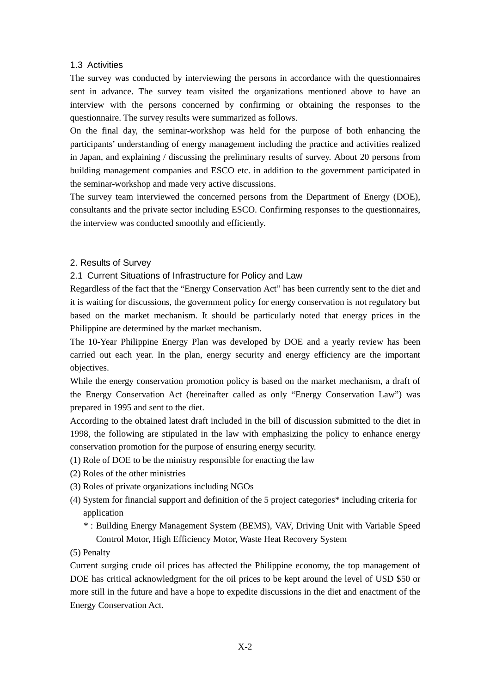#### 1.3 Activities

The survey was conducted by interviewing the persons in accordance with the questionnaires sent in advance. The survey team visited the organizations mentioned above to have an interview with the persons concerned by confirming or obtaining the responses to the questionnaire. The survey results were summarized as follows.

On the final day, the seminar-workshop was held for the purpose of both enhancing the participants' understanding of energy management including the practice and activities realized in Japan, and explaining / discussing the preliminary results of survey. About 20 persons from building management companies and ESCO etc. in addition to the government participated in the seminar-workshop and made very active discussions.

The survey team interviewed the concerned persons from the Department of Energy (DOE), consultants and the private sector including ESCO. Confirming responses to the questionnaires, the interview was conducted smoothly and efficiently.

## 2. Results of Survey

2.1 Current Situations of Infrastructure for Policy and Law

Regardless of the fact that the "Energy Conservation Act" has been currently sent to the diet and it is waiting for discussions, the government policy for energy conservation is not regulatory but based on the market mechanism. It should be particularly noted that energy prices in the Philippine are determined by the market mechanism.

The 10-Year Philippine Energy Plan was developed by DOE and a yearly review has been carried out each year. In the plan, energy security and energy efficiency are the important objectives.

While the energy conservation promotion policy is based on the market mechanism, a draft of the Energy Conservation Act (hereinafter called as only "Energy Conservation Law") was prepared in 1995 and sent to the diet.

According to the obtained latest draft included in the bill of discussion submitted to the diet in 1998, the following are stipulated in the law with emphasizing the policy to enhance energy conservation promotion for the purpose of ensuring energy security.

- (1) Role of DOE to be the ministry responsible for enacting the law
- (2) Roles of the other ministries
- (3) Roles of private organizations including NGOs
- (4) System for financial support and definition of the 5 project categories\* including criteria for application
	- \* : Building Energy Management System (BEMS), VAV, Driving Unit with Variable Speed Control Motor, High Efficiency Motor, Waste Heat Recovery System

(5) Penalty

Current surging crude oil prices has affected the Philippine economy, the top management of DOE has critical acknowledgment for the oil prices to be kept around the level of USD \$50 or more still in the future and have a hope to expedite discussions in the diet and enactment of the Energy Conservation Act.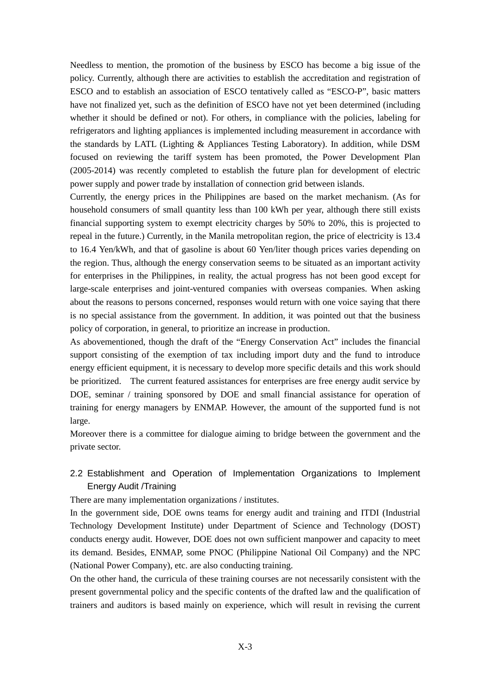Needless to mention, the promotion of the business by ESCO has become a big issue of the policy. Currently, although there are activities to establish the accreditation and registration of ESCO and to establish an association of ESCO tentatively called as "ESCO-P", basic matters have not finalized yet, such as the definition of ESCO have not yet been determined (including whether it should be defined or not). For others, in compliance with the policies, labeling for refrigerators and lighting appliances is implemented including measurement in accordance with the standards by LATL (Lighting & Appliances Testing Laboratory). In addition, while DSM focused on reviewing the tariff system has been promoted, the Power Development Plan (2005-2014) was recently completed to establish the future plan for development of electric power supply and power trade by installation of connection grid between islands.

Currently, the energy prices in the Philippines are based on the market mechanism. (As for household consumers of small quantity less than 100 kWh per year, although there still exists financial supporting system to exempt electricity charges by 50% to 20%, this is projected to repeal in the future.) Currently, in the Manila metropolitan region, the price of electricity is 13.4 to 16.4 Yen/kWh, and that of gasoline is about 60 Yen/liter though prices varies depending on the region. Thus, although the energy conservation seems to be situated as an important activity for enterprises in the Philippines, in reality, the actual progress has not been good except for large-scale enterprises and joint-ventured companies with overseas companies. When asking about the reasons to persons concerned, responses would return with one voice saying that there is no special assistance from the government. In addition, it was pointed out that the business policy of corporation, in general, to prioritize an increase in production.

As abovementioned, though the draft of the "Energy Conservation Act" includes the financial support consisting of the exemption of tax including import duty and the fund to introduce energy efficient equipment, it is necessary to develop more specific details and this work should be prioritized. The current featured assistances for enterprises are free energy audit service by DOE, seminar / training sponsored by DOE and small financial assistance for operation of training for energy managers by ENMAP. However, the amount of the supported fund is not large.

Moreover there is a committee for dialogue aiming to bridge between the government and the private sector.

## 2.2 Establishment and Operation of Implementation Organizations to Implement Energy Audit /Training

There are many implementation organizations / institutes.

In the government side, DOE owns teams for energy audit and training and ITDI (Industrial Technology Development Institute) under Department of Science and Technology (DOST) conducts energy audit. However, DOE does not own sufficient manpower and capacity to meet its demand. Besides, ENMAP, some PNOC (Philippine National Oil Company) and the NPC (National Power Company), etc. are also conducting training.

On the other hand, the curricula of these training courses are not necessarily consistent with the present governmental policy and the specific contents of the drafted law and the qualification of trainers and auditors is based mainly on experience, which will result in revising the current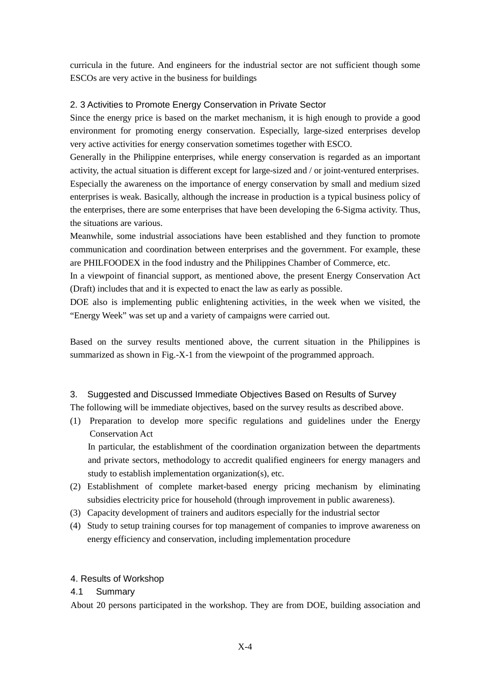curricula in the future. And engineers for the industrial sector are not sufficient though some ESCOs are very active in the business for buildings

## 2. 3 Activities to Promote Energy Conservation in Private Sector

Since the energy price is based on the market mechanism, it is high enough to provide a good environment for promoting energy conservation. Especially, large-sized enterprises develop very active activities for energy conservation sometimes together with ESCO.

Generally in the Philippine enterprises, while energy conservation is regarded as an important activity, the actual situation is different except for large-sized and / or joint-ventured enterprises. Especially the awareness on the importance of energy conservation by small and medium sized enterprises is weak. Basically, although the increase in production is a typical business policy of the enterprises, there are some enterprises that have been developing the 6-Sigma activity. Thus, the situations are various.

Meanwhile, some industrial associations have been established and they function to promote communication and coordination between enterprises and the government. For example, these are PHILFOODEX in the food industry and the Philippines Chamber of Commerce, etc.

In a viewpoint of financial support, as mentioned above, the present Energy Conservation Act (Draft) includes that and it is expected to enact the law as early as possible.

DOE also is implementing public enlightening activities, in the week when we visited, the "Energy Week" was set up and a variety of campaigns were carried out.

Based on the survey results mentioned above, the current situation in the Philippines is summarized as shown in Fig.-X-1 from the viewpoint of the programmed approach.

## 3. Suggested and Discussed Immediate Objectives Based on Results of Survey

The following will be immediate objectives, based on the survey results as described above.

(1) Preparation to develop more specific regulations and guidelines under the Energy Conservation Act

In particular, the establishment of the coordination organization between the departments and private sectors, methodology to accredit qualified engineers for energy managers and study to establish implementation organization(s), etc.

- (2) Establishment of complete market-based energy pricing mechanism by eliminating subsidies electricity price for household (through improvement in public awareness).
- (3) Capacity development of trainers and auditors especially for the industrial sector
- (4) Study to setup training courses for top management of companies to improve awareness on energy efficiency and conservation, including implementation procedure

## 4. Results of Workshop

## 4.1 Summary

About 20 persons participated in the workshop. They are from DOE, building association and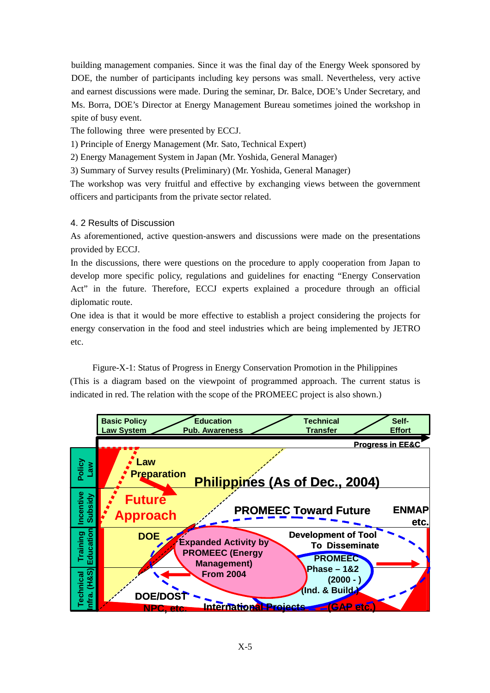building management companies. Since it was the final day of the Energy Week sponsored by DOE, the number of participants including key persons was small. Nevertheless, very active and earnest discussions were made. During the seminar, Dr. Balce, DOE's Under Secretary, and Ms. Borra, DOE's Director at Energy Management Bureau sometimes joined the workshop in spite of busy event.

The following three were presented by ECCJ.

1) Principle of Energy Management (Mr. Sato, Technical Expert)

2) Energy Management System in Japan (Mr. Yoshida, General Manager)

3) Summary of Survey results (Preliminary) (Mr. Yoshida, General Manager)

The workshop was very fruitful and effective by exchanging views between the government officers and participants from the private sector related.

## 4. 2 Results of Discussion

As aforementioned, active question-answers and discussions were made on the presentations provided by ECCJ.

In the discussions, there were questions on the procedure to apply cooperation from Japan to develop more specific policy, regulations and guidelines for enacting "Energy Conservation Act" in the future. Therefore, ECCJ experts explained a procedure through an official diplomatic route.

One idea is that it would be more effective to establish a project considering the projects for energy conservation in the food and steel industries which are being implemented by JETRO etc.

Figure-X-1: Status of Progress in Energy Conservation Promotion in the Philippines (This is a diagram based on the viewpoint of programmed approach. The current status is indicated in red. The relation with the scope of the PROMEEC project is also shown.)

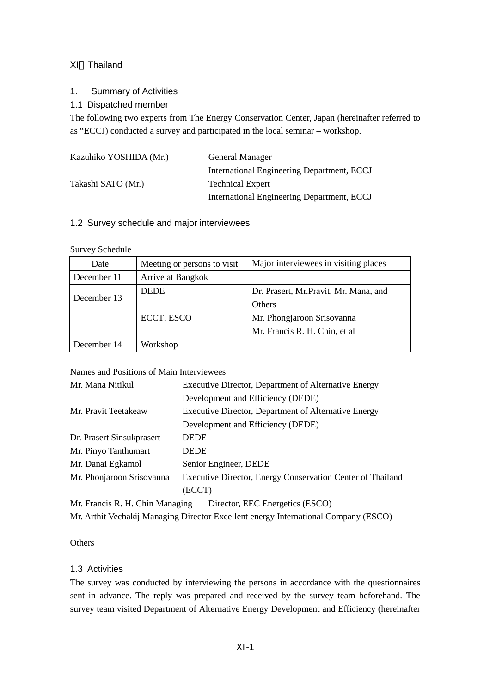## XI Thailand

1. Summary of Activities

## 1.1 Dispatched member

The following two experts from The Energy Conservation Center, Japan (hereinafter referred to as "ECCJ) conducted a survey and participated in the local seminar – workshop.

| Kazuhiko YOSHIDA (Mr.) | <b>General Manager</b>                     |
|------------------------|--------------------------------------------|
|                        | International Engineering Department, ECCJ |
| Takashi SATO (Mr.)     | <b>Technical Expert</b>                    |
|                        | International Engineering Department, ECCJ |

## 1.2 Survey schedule and major interviewees

## Survey Schedule

| Date        | Meeting or persons to visit | Major interviewees in visiting places  |  |
|-------------|-----------------------------|----------------------------------------|--|
| December 11 | Arrive at Bangkok           |                                        |  |
| December 13 | <b>DEDE</b>                 | Dr. Prasert, Mr. Pravit, Mr. Mana, and |  |
|             |                             | <b>Others</b>                          |  |
|             | ECCT, ESCO                  | Mr. Phongjaroon Srisovanna             |  |
|             |                             | Mr. Francis R. H. Chin, et al.         |  |
| December 14 | Workshop                    |                                        |  |

## Names and Positions of Main Interviewees

| Mr. Mana Nitikul                | Executive Director, Department of Alternative Energy       |  |  |
|---------------------------------|------------------------------------------------------------|--|--|
|                                 | Development and Efficiency (DEDE)                          |  |  |
| Mr. Pravit Teetakeaw            | Executive Director, Department of Alternative Energy       |  |  |
|                                 | Development and Efficiency (DEDE)                          |  |  |
| Dr. Prasert Sinsukprasert       | <b>DEDE</b>                                                |  |  |
| Mr. Pinyo Tanthumart            | <b>DEDE</b>                                                |  |  |
| Mr. Danai Egkamol               | Senior Engineer, DEDE                                      |  |  |
| Mr. Phonjaroon Srisovanna       | Executive Director, Energy Conservation Center of Thailand |  |  |
|                                 | (ECCT)                                                     |  |  |
| Mr. Francis R. H. Chin Managing | Director, EEC Energetics (ESCO)                            |  |  |

Mr. Arthit Vechakij Managing Director Excellent energy International Company (ESCO)

**Others** 

## 1.3 Activities

The survey was conducted by interviewing the persons in accordance with the questionnaires sent in advance. The reply was prepared and received by the survey team beforehand. The survey team visited Department of Alternative Energy Development and Efficiency (hereinafter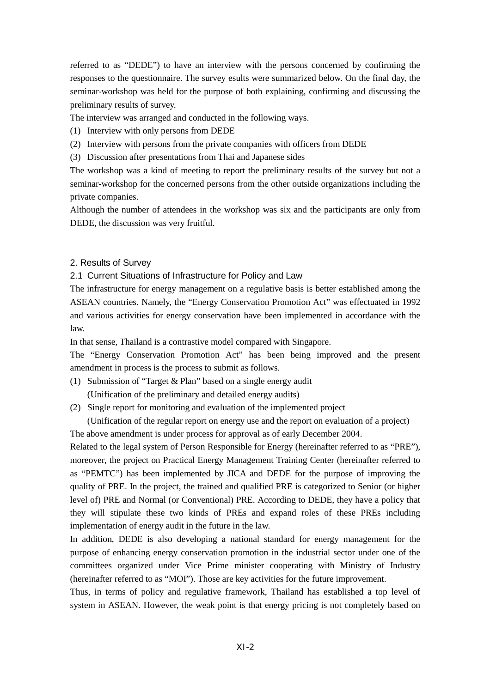referred to as "DEDE") to have an interview with the persons concerned by confirming the responses to the questionnaire. The survey esults were summarized below. On the final day, the seminar-workshop was held for the purpose of both explaining, confirming and discussing the preliminary results of survey.

The interview was arranged and conducted in the following ways.

- (1) Interview with only persons from DEDE
- (2) Interview with persons from the private companies with officers from DEDE
- (3) Discussion after presentations from Thai and Japanese sides

The workshop was a kind of meeting to report the preliminary results of the survey but not a seminar-workshop for the concerned persons from the other outside organizations including the private companies.

Although the number of attendees in the workshop was six and the participants are only from DEDE, the discussion was very fruitful.

#### 2. Results of Survey

2.1 Current Situations of Infrastructure for Policy and Law

The infrastructure for energy management on a regulative basis is better established among the ASEAN countries. Namely, the "Energy Conservation Promotion Act" was effectuated in 1992 and various activities for energy conservation have been implemented in accordance with the law.

In that sense, Thailand is a contrastive model compared with Singapore.

The "Energy Conservation Promotion Act" has been being improved and the present amendment in process is the process to submit as follows.

(1) Submission of "Target & Plan" based on a single energy audit

(Unification of the preliminary and detailed energy audits)

(2) Single report for monitoring and evaluation of the implemented project

 (Unification of the regular report on energy use and the report on evaluation of a project) The above amendment is under process for approval as of early December 2004.

Related to the legal system of Person Responsible for Energy (hereinafter referred to as "PRE"), moreover, the project on Practical Energy Management Training Center (hereinafter referred to as "PEMTC") has been implemented by JICA and DEDE for the purpose of improving the quality of PRE. In the project, the trained and qualified PRE is categorized to Senior (or higher level of) PRE and Normal (or Conventional) PRE. According to DEDE, they have a policy that they will stipulate these two kinds of PREs and expand roles of these PREs including implementation of energy audit in the future in the law.

In addition, DEDE is also developing a national standard for energy management for the purpose of enhancing energy conservation promotion in the industrial sector under one of the committees organized under Vice Prime minister cooperating with Ministry of Industry (hereinafter referred to as "MOI"). Those are key activities for the future improvement.

Thus, in terms of policy and regulative framework, Thailand has established a top level of system in ASEAN. However, the weak point is that energy pricing is not completely based on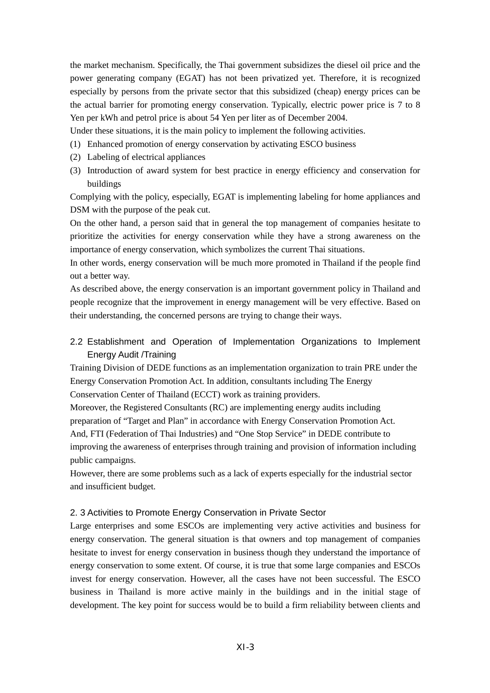the market mechanism. Specifically, the Thai government subsidizes the diesel oil price and the power generating company (EGAT) has not been privatized yet. Therefore, it is recognized especially by persons from the private sector that this subsidized (cheap) energy prices can be the actual barrier for promoting energy conservation. Typically, electric power price is 7 to 8 Yen per kWh and petrol price is about 54 Yen per liter as of December 2004.

Under these situations, it is the main policy to implement the following activities.

- (1) Enhanced promotion of energy conservation by activating ESCO business
- (2) Labeling of electrical appliances
- (3) Introduction of award system for best practice in energy efficiency and conservation for buildings

Complying with the policy, especially, EGAT is implementing labeling for home appliances and DSM with the purpose of the peak cut.

On the other hand, a person said that in general the top management of companies hesitate to prioritize the activities for energy conservation while they have a strong awareness on the importance of energy conservation, which symbolizes the current Thai situations.

In other words, energy conservation will be much more promoted in Thailand if the people find out a better way.

As described above, the energy conservation is an important government policy in Thailand and people recognize that the improvement in energy management will be very effective. Based on their understanding, the concerned persons are trying to change their ways.

2.2 Establishment and Operation of Implementation Organizations to Implement Energy Audit /Training

Training Division of DEDE functions as an implementation organization to train PRE under the Energy Conservation Promotion Act. In addition, consultants including The Energy Conservation Center of Thailand (ECCT) work as training providers.

Moreover, the Registered Consultants (RC) are implementing energy audits including preparation of "Target and Plan" in accordance with Energy Conservation Promotion Act. And, FTI (Federation of Thai Industries) and "One Stop Service" in DEDE contribute to improving the awareness of enterprises through training and provision of information including

public campaigns.

However, there are some problems such as a lack of experts especially for the industrial sector and insufficient budget.

## 2. 3 Activities to Promote Energy Conservation in Private Sector

Large enterprises and some ESCOs are implementing very active activities and business for energy conservation. The general situation is that owners and top management of companies hesitate to invest for energy conservation in business though they understand the importance of energy conservation to some extent. Of course, it is true that some large companies and ESCOs invest for energy conservation. However, all the cases have not been successful. The ESCO business in Thailand is more active mainly in the buildings and in the initial stage of development. The key point for success would be to build a firm reliability between clients and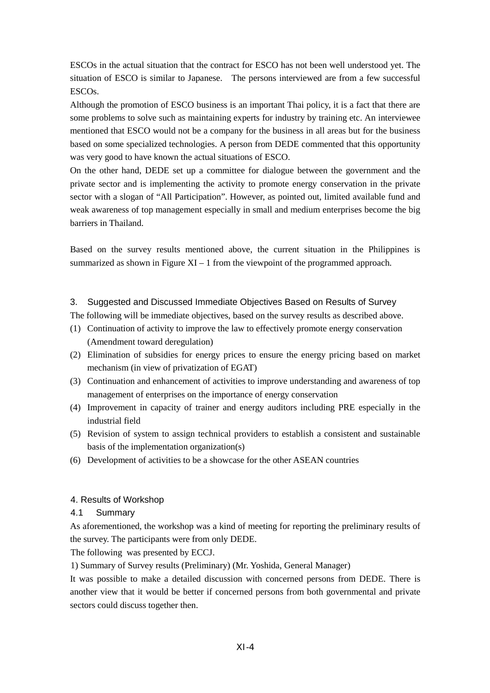ESCOs in the actual situation that the contract for ESCO has not been well understood yet. The situation of ESCO is similar to Japanese. The persons interviewed are from a few successful ESCOs.

Although the promotion of ESCO business is an important Thai policy, it is a fact that there are some problems to solve such as maintaining experts for industry by training etc. An interviewee mentioned that ESCO would not be a company for the business in all areas but for the business based on some specialized technologies. A person from DEDE commented that this opportunity was very good to have known the actual situations of ESCO.

On the other hand, DEDE set up a committee for dialogue between the government and the private sector and is implementing the activity to promote energy conservation in the private sector with a slogan of "All Participation". However, as pointed out, limited available fund and weak awareness of top management especially in small and medium enterprises become the big barriers in Thailand.

Based on the survey results mentioned above, the current situation in the Philippines is summarized as shown in Figure  $XI - 1$  from the viewpoint of the programmed approach.

## 3. Suggested and Discussed Immediate Objectives Based on Results of Survey

The following will be immediate objectives, based on the survey results as described above.

- (1) Continuation of activity to improve the law to effectively promote energy conservation (Amendment toward deregulation)
- (2) Elimination of subsidies for energy prices to ensure the energy pricing based on market mechanism (in view of privatization of EGAT)
- (3) Continuation and enhancement of activities to improve understanding and awareness of top management of enterprises on the importance of energy conservation
- (4) Improvement in capacity of trainer and energy auditors including PRE especially in the industrial field
- (5) Revision of system to assign technical providers to establish a consistent and sustainable basis of the implementation organization(s)
- (6) Development of activities to be a showcase for the other ASEAN countries

## 4. Results of Workshop

## 4.1 Summary

As aforementioned, the workshop was a kind of meeting for reporting the preliminary results of the survey. The participants were from only DEDE.

The following was presented by ECCJ.

1) Summary of Survey results (Preliminary) (Mr. Yoshida, General Manager)

It was possible to make a detailed discussion with concerned persons from DEDE. There is another view that it would be better if concerned persons from both governmental and private sectors could discuss together then.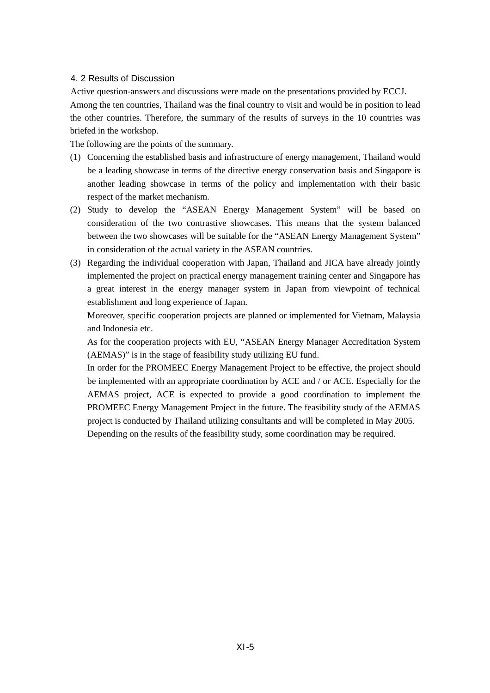#### 4. 2 Results of Discussion

Active question-answers and discussions were made on the presentations provided by ECCJ. Among the ten countries, Thailand was the final country to visit and would be in position to lead the other countries. Therefore, the summary of the results of surveys in the 10 countries was briefed in the workshop.

The following are the points of the summary.

- (1) Concerning the established basis and infrastructure of energy management, Thailand would be a leading showcase in terms of the directive energy conservation basis and Singapore is another leading showcase in terms of the policy and implementation with their basic respect of the market mechanism.
- (2) Study to develop the "ASEAN Energy Management System" will be based on consideration of the two contrastive showcases. This means that the system balanced between the two showcases will be suitable for the "ASEAN Energy Management System" in consideration of the actual variety in the ASEAN countries.
- (3) Regarding the individual cooperation with Japan, Thailand and JICA have already jointly implemented the project on practical energy management training center and Singapore has a great interest in the energy manager system in Japan from viewpoint of technical establishment and long experience of Japan.

Moreover, specific cooperation projects are planned or implemented for Vietnam, Malaysia and Indonesia etc.

As for the cooperation projects with EU, "ASEAN Energy Manager Accreditation System (AEMAS)" is in the stage of feasibility study utilizing EU fund.

In order for the PROMEEC Energy Management Project to be effective, the project should be implemented with an appropriate coordination by ACE and / or ACE. Especially for the AEMAS project, ACE is expected to provide a good coordination to implement the PROMEEC Energy Management Project in the future. The feasibility study of the AEMAS project is conducted by Thailand utilizing consultants and will be completed in May 2005. Depending on the results of the feasibility study, some coordination may be required.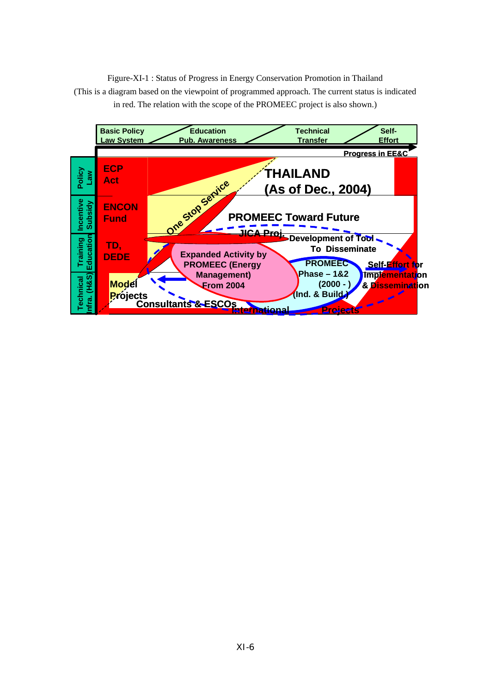Figure-XI-1 : Status of Progress in Energy Conservation Promotion in Thailand (This is a diagram based on the viewpoint of programmed approach. The current status is indicated in red. The relation with the scope of the PROMEEC project is also shown.)

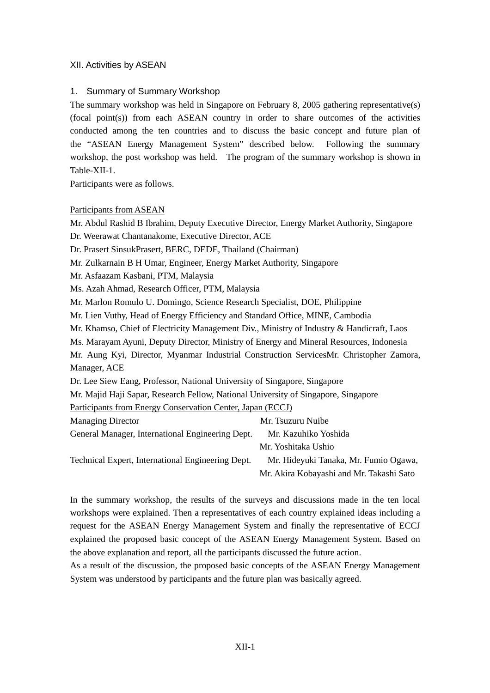## XII. Activities by ASEAN

#### 1. Summary of Summary Workshop

The summary workshop was held in Singapore on February 8, 2005 gathering representative(s) (focal point(s)) from each ASEAN country in order to share outcomes of the activities conducted among the ten countries and to discuss the basic concept and future plan of the "ASEAN Energy Management System" described below. Following the summary workshop, the post workshop was held. The program of the summary workshop is shown in Table-XII-1.

Participants were as follows.

#### Participants from ASEAN

Mr. Abdul Rashid B Ibrahim, Deputy Executive Director, Energy Market Authority, Singapore

Dr. Weerawat Chantanakome, Executive Director, ACE

Dr. Prasert SinsukPrasert, BERC, DEDE, Thailand (Chairman)

Mr. Zulkarnain B H Umar, Engineer, Energy Market Authority, Singapore

Mr. Asfaazam Kasbani, PTM, Malaysia

Ms. Azah Ahmad, Research Officer, PTM, Malaysia

Mr. Marlon Romulo U. Domingo, Science Research Specialist, DOE, Philippine

Mr. Lien Vuthy, Head of Energy Efficiency and Standard Office, MINE, Cambodia

Mr. Khamso, Chief of Electricity Management Div., Ministry of Industry & Handicraft, Laos

Ms. Marayam Ayuni, Deputy Director, Ministry of Energy and Mineral Resources, Indonesia

Mr. Aung Kyi, Director, Myanmar Industrial Construction ServicesMr. Christopher Zamora, Manager, ACE

Dr. Lee Siew Eang, Professor, National University of Singapore, Singapore

Mr. Majid Haji Sapar, Research Fellow, National University of Singapore, Singapore

Participants from Energy Conservation Center, Japan (ECCJ)

| <b>Managing Director</b>                          | Mr. Tsuzuru Nuibe                        |
|---------------------------------------------------|------------------------------------------|
| General Manager, International Engineering Dept.  | Mr. Kazuhiko Yoshida                     |
|                                                   | Mr. Yoshitaka Ushio                      |
| Technical Expert, International Engineering Dept. | Mr. Hideyuki Tanaka, Mr. Fumio Ogawa,    |
|                                                   | Mr. Akira Kobayashi and Mr. Takashi Sato |

In the summary workshop, the results of the surveys and discussions made in the ten local workshops were explained. Then a representatives of each country explained ideas including a request for the ASEAN Energy Management System and finally the representative of ECCJ explained the proposed basic concept of the ASEAN Energy Management System. Based on the above explanation and report, all the participants discussed the future action.

As a result of the discussion, the proposed basic concepts of the ASEAN Energy Management System was understood by participants and the future plan was basically agreed.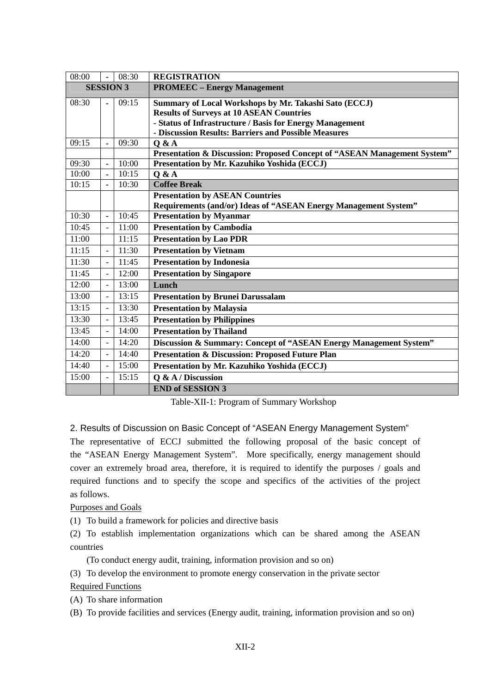| 08:00            |                          | 08:30 | <b>REGISTRATION</b>                                                      |
|------------------|--------------------------|-------|--------------------------------------------------------------------------|
| <b>SESSION 3</b> |                          |       | <b>PROMEEC</b> – Energy Management                                       |
| 08:30            | $\blacksquare$           | 09:15 | Summary of Local Workshops by Mr. Takashi Sato (ECCJ)                    |
|                  |                          |       | <b>Results of Surveys at 10 ASEAN Countries</b>                          |
|                  |                          |       | - Status of Infrastructure / Basis for Energy Management                 |
|                  |                          |       | - Discussion Results: Barriers and Possible Measures                     |
| 09:15            | $\blacksquare$           | 09:30 | Q & A                                                                    |
|                  |                          |       | Presentation & Discussion: Proposed Concept of "ASEAN Management System" |
| 09:30            | $\blacksquare$           | 10:00 | Presentation by Mr. Kazuhiko Yoshida (ECCJ)                              |
| 10:00            |                          | 10:15 | Q & A                                                                    |
| 10:15            | $\blacksquare$           | 10:30 | <b>Coffee Break</b>                                                      |
|                  |                          |       | <b>Presentation by ASEAN Countries</b>                                   |
|                  |                          |       | Requirements (and/or) Ideas of "ASEAN Energy Management System"          |
| 10:30            | $\blacksquare$           | 10:45 | <b>Presentation by Myanmar</b>                                           |
| 10:45            | $\sim$                   | 11:00 | <b>Presentation by Cambodia</b>                                          |
| 11:00            |                          | 11:15 | <b>Presentation by Lao PDR</b>                                           |
| 11:15            | $\bar{\phantom{a}}$      | 11:30 | <b>Presentation</b> by Vietnam                                           |
| 11:30            | $\blacksquare$           | 11:45 | <b>Presentation by Indonesia</b>                                         |
| 11:45            | $\blacksquare$           | 12:00 | <b>Presentation by Singapore</b>                                         |
| 12:00            | $\overline{\phantom{a}}$ | 13:00 | Lunch                                                                    |
| 13:00            | $\bar{\phantom{a}}$      | 13:15 | <b>Presentation by Brunei Darussalam</b>                                 |
| 13:15            | $\equiv$                 | 13:30 | <b>Presentation by Malaysia</b>                                          |
| 13:30            | $\mathbf{r}$             | 13:45 | <b>Presentation by Philippines</b>                                       |
| 13:45            | $\mathbf{r}$             | 14:00 | <b>Presentation by Thailand</b>                                          |
| 14:00            | $\bar{\phantom{a}}$      | 14:20 | Discussion & Summary: Concept of "ASEAN Energy Management System"        |
| 14:20            | $\blacksquare$           | 14:40 | <b>Presentation &amp; Discussion: Proposed Future Plan</b>               |
| 14:40            | $\mathbf{r}$             | 15:00 | Presentation by Mr. Kazuhiko Yoshida (ECCJ)                              |
| 15:00            | $\overline{\phantom{a}}$ | 15:15 | Q & A / Discussion                                                       |
|                  |                          |       | <b>END of SESSION 3</b>                                                  |

Table-XII-1: Program of Summary Workshop

## 2. Results of Discussion on Basic Concept of "ASEAN Energy Management System"

The representative of ECCJ submitted the following proposal of the basic concept of the "ASEAN Energy Management System". More specifically, energy management should cover an extremely broad area, therefore, it is required to identify the purposes / goals and required functions and to specify the scope and specifics of the activities of the project as follows.

## Purposes and Goals

(1) To build a framework for policies and directive basis

(2) To establish implementation organizations which can be shared among the ASEAN countries

(To conduct energy audit, training, information provision and so on)

(3) To develop the environment to promote energy conservation in the private sector

## Required Functions

(A) To share information

(B) To provide facilities and services (Energy audit, training, information provision and so on)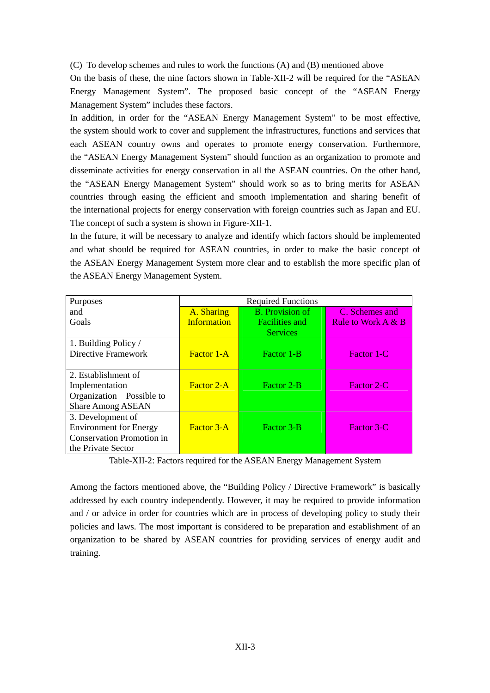(C) To develop schemes and rules to work the functions (A) and (B) mentioned above

On the basis of these, the nine factors shown in Table-XII-2 will be required for the "ASEAN Energy Management System". The proposed basic concept of the "ASEAN Energy Management System" includes these factors.

In addition, in order for the "ASEAN Energy Management System" to be most effective, the system should work to cover and supplement the infrastructures, functions and services that each ASEAN country owns and operates to promote energy conservation. Furthermore, the "ASEAN Energy Management System" should function as an organization to promote and disseminate activities for energy conservation in all the ASEAN countries. On the other hand, the "ASEAN Energy Management System" should work so as to bring merits for ASEAN countries through easing the efficient and smooth implementation and sharing benefit of the international projects for energy conservation with foreign countries such as Japan and EU. The concept of such a system is shown in Figure-XII-1.

In the future, it will be necessary to analyze and identify which factors should be implemented and what should be required for ASEAN countries, in order to make the basic concept of the ASEAN Energy Management System more clear and to establish the more specific plan of the ASEAN Energy Management System.

| Purposes                         | <b>Required Functions</b> |                        |                      |  |
|----------------------------------|---------------------------|------------------------|----------------------|--|
| and                              | A. Sharing                | <b>B.</b> Provision of | C. Schemes and       |  |
| Goals                            | <b>Information</b>        | <b>Facilities and</b>  | Rule to Work $A & B$ |  |
|                                  |                           | <b>Services</b>        |                      |  |
| 1. Building Policy /             |                           |                        |                      |  |
| Directive Framework              | <b>Factor 1-A</b>         | Factor 1-B             | Factor 1-C           |  |
|                                  |                           |                        |                      |  |
| 2. Establishment of              |                           |                        |                      |  |
| Implementation                   | Factor 2-A                | Factor 2-B             | Factor 2-C           |  |
| Organization Possible to         |                           |                        |                      |  |
| <b>Share Among ASEAN</b>         |                           |                        |                      |  |
| 3. Development of                |                           |                        |                      |  |
| <b>Environment for Energy</b>    | Factor 3-A                | Factor 3-B             | Factor 3-C           |  |
| <b>Conservation Promotion in</b> |                           |                        |                      |  |
| the Private Sector               |                           |                        |                      |  |

Table-XII-2: Factors required for the ASEAN Energy Management System

Among the factors mentioned above, the "Building Policy / Directive Framework" is basically addressed by each country independently. However, it may be required to provide information and / or advice in order for countries which are in process of developing policy to study their policies and laws. The most important is considered to be preparation and establishment of an organization to be shared by ASEAN countries for providing services of energy audit and training.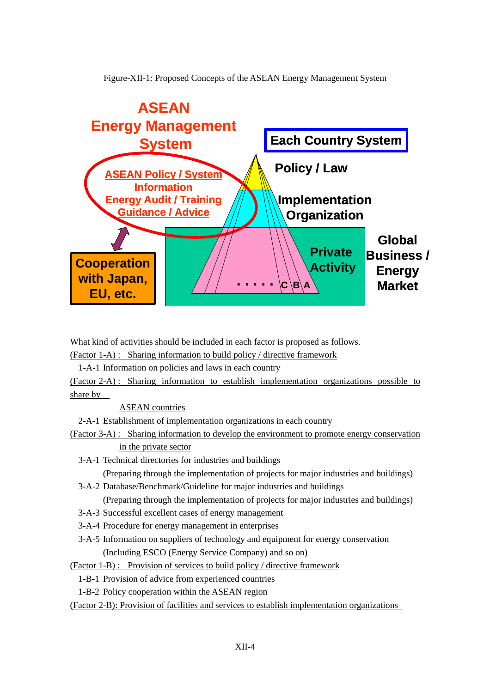Figure-XII-1: Proposed Concepts of the ASEAN Energy Management System



What kind of activities should be included in each factor is proposed as follows.

(Factor 1-A) : Sharing information to build policy / directive framework

1-A-1 Information on policies and laws in each country

(Factor 2-A) : Sharing information to establish implementation organizations possible to share by

ASEAN countries

2-A-1 Establishment of implementation organizations in each country

(Factor 3-A) : Sharing information to develop the environment to promote energy conservation

in the private sector

3-A-1 Technical directories for industries and buildings

(Preparing through the implementation of projects for major industries and buildings)

3-A-2 Database/Benchmark/Guideline for major industries and buildings

(Preparing through the implementation of projects for major industries and buildings)

- 3-A-3 Successful excellent cases of energy management
- 3-A-4 Procedure for energy management in enterprises
- 3-A-5 Information on suppliers of technology and equipment for energy conservation (Including ESCO (Energy Service Company) and so on)

(Factor 1-B) : Provision of services to build policy / directive framework

1-B-1 Provision of advice from experienced countries

1-B-2 Policy cooperation within the ASEAN region

(Factor 2-B): Provision of facilities and services to establish implementation organizations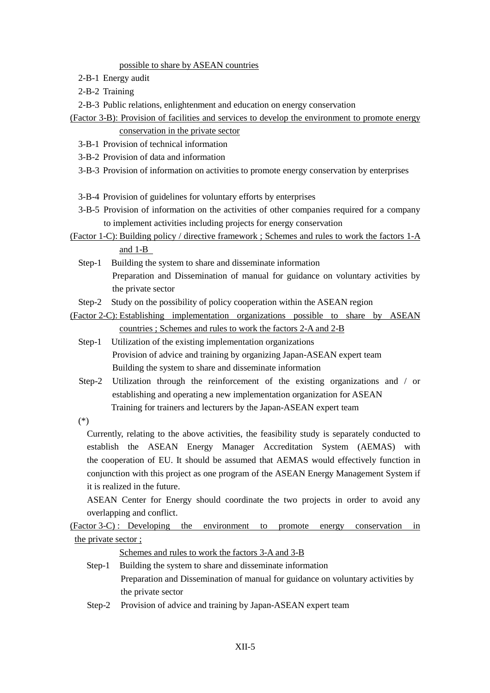#### possible to share by ASEAN countries

- 2-B-1 Energy audit
- 2-B-2 Training

2-B-3 Public relations, enlightenment and education on energy conservation

- (Factor 3-B): Provision of facilities and services to develop the environment to promote energy conservation in the private sector
	- 3-B-1 Provision of technical information
	- 3-B-2 Provision of data and information
	- 3-B-3 Provision of information on activities to promote energy conservation by enterprises
	- 3-B-4 Provision of guidelines for voluntary efforts by enterprises
	- 3-B-5 Provision of information on the activities of other companies required for a company to implement activities including projects for energy conservation
- (Factor 1-C): Building policy / directive framework ; Schemes and rules to work the factors 1-A and 1-B
	- Step-1 Building the system to share and disseminate information Preparation and Dissemination of manual for guidance on voluntary activities by the private sector

Step-2 Study on the possibility of policy cooperation within the ASEAN region

- (Factor 2-C): Establishing implementation organizations possible to share by ASEAN countries ; Schemes and rules to work the factors 2-A and 2-B
	- Step-1 Utilization of the existing implementation organizations Provision of advice and training by organizing Japan-ASEAN expert team Building the system to share and disseminate information
	- Step-2 Utilization through the reinforcement of the existing organizations and / or establishing and operating a new implementation organization for ASEAN Training for trainers and lecturers by the Japan-ASEAN expert team
	- (\*)

Currently, relating to the above activities, the feasibility study is separately conducted to establish the ASEAN Energy Manager Accreditation System (AEMAS) with the cooperation of EU. It should be assumed that AEMAS would effectively function in conjunction with this project as one program of the ASEAN Energy Management System if it is realized in the future.

ASEAN Center for Energy should coordinate the two projects in order to avoid any overlapping and conflict.

(Factor 3-C) : Developing the environment to promote energy conservation in the private sector ;

Schemes and rules to work the factors 3-A and 3-B

- Step-1 Building the system to share and disseminate information Preparation and Dissemination of manual for guidance on voluntary activities by the private sector
- Step-2 Provision of advice and training by Japan-ASEAN expert team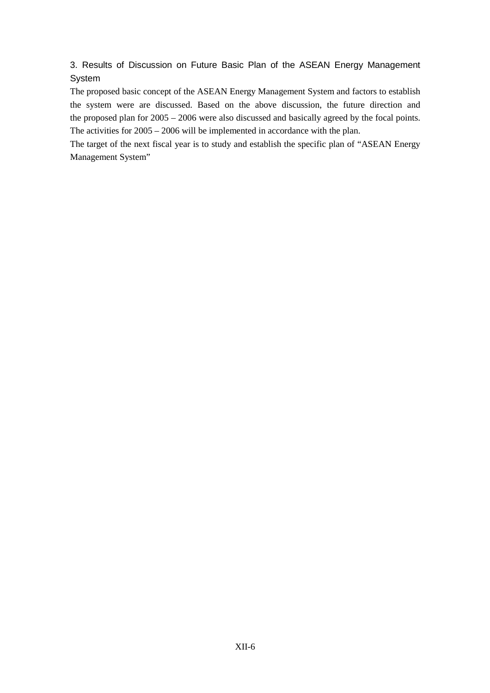3. Results of Discussion on Future Basic Plan of the ASEAN Energy Management **System** 

The proposed basic concept of the ASEAN Energy Management System and factors to establish the system were are discussed. Based on the above discussion, the future direction and the proposed plan for 2005 – 2006 were also discussed and basically agreed by the focal points. The activities for 2005 – 2006 will be implemented in accordance with the plan.

The target of the next fiscal year is to study and establish the specific plan of "ASEAN Energy Management System"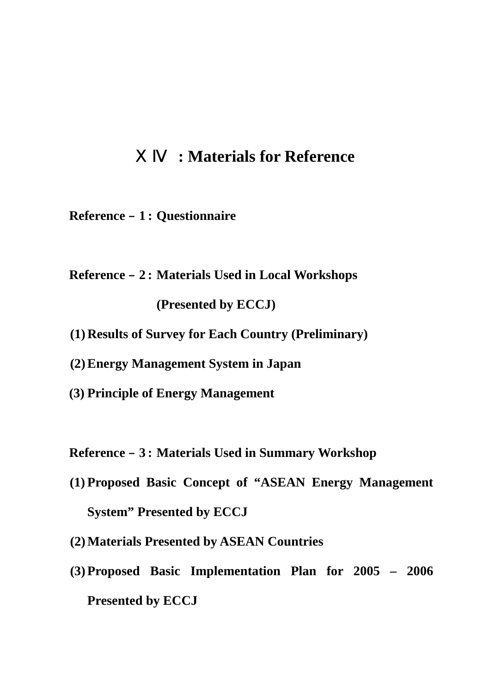## ⅩⅣ **: Materials for Reference**

- **Reference** – **1 : Questionnaire**
- **Reference** – **2 : Materials Used in Local Workshops (Presented by ECCJ)**
- **(1) Results of Survey for Each Country (Preliminary)**
- **(2) Energy Management System in Japan**
- **(3) Principle of Energy Management**

**Reference** – **3 : Materials Used in Summary Workshop** 

- **(1) Proposed Basic Concept of "ASEAN Energy Management System" Presented by ECCJ**
- **(2) Materials Presented by ASEAN Countries**
- **(3) Proposed Basic Implementation Plan for 2005 2006 Presented by ECCJ**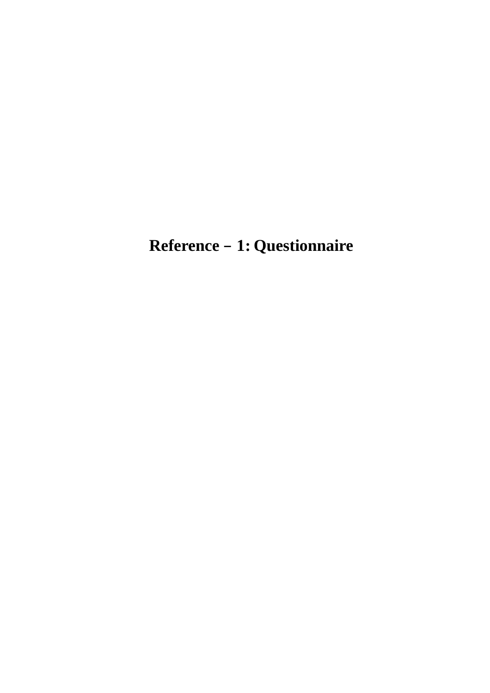**Reference** – **1 : Questionnaire**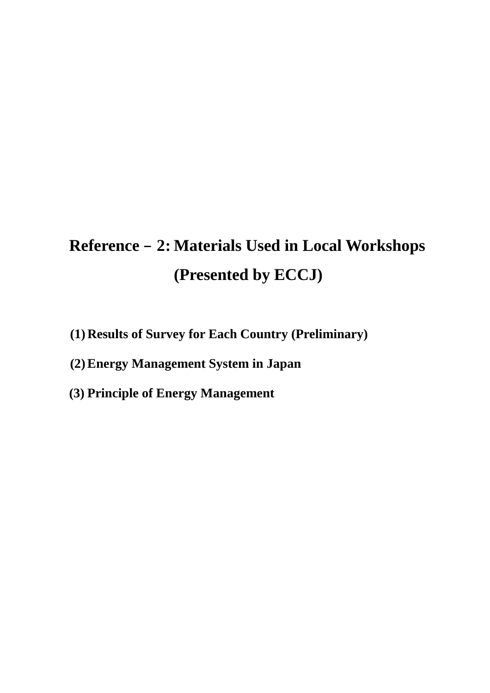# Reference – 2: Materials Used in Local Workshops  **(Presented by ECCJ)**

- **(1) Results of Survey for Each Country (Preliminary)**
- **(2) Energy Management System in Japan**
- **(3) Principle of Energy Management**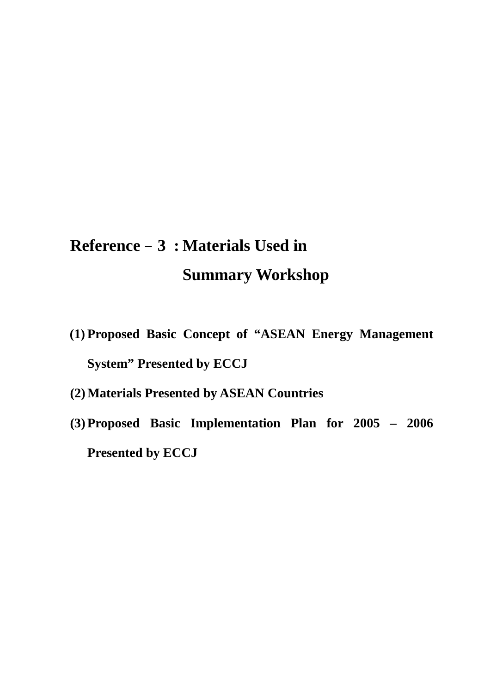## **Reference** – **3 : Materials Used in Summary Workshop**

- **(1) Proposed Basic Concept of "ASEAN Energy Management System" Presented by ECCJ**
- **(2) Materials Presented by ASEAN Countries**
- **(3) Proposed Basic Implementation Plan for 2005 2006 Presented by ECCJ**